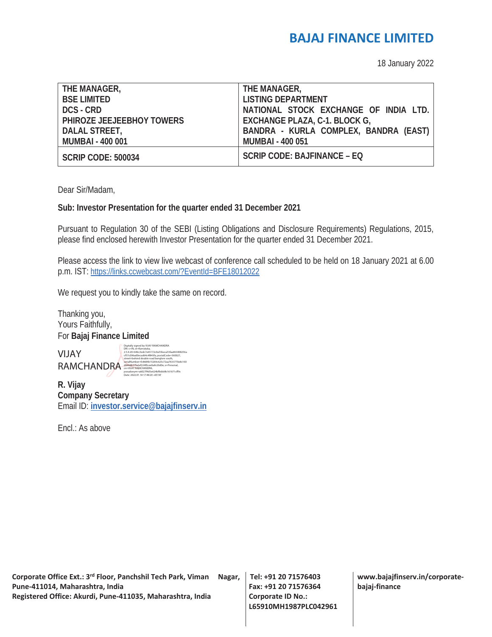#### **BAJAJ FINANCE LIMITED**

18 January 2022

| THE MANAGER,              | THE MANAGER,                          |
|---------------------------|---------------------------------------|
| <b>BSE LIMITED</b>        | <b>LISTING DEPARTMENT</b>             |
| DCS - CRD                 | NATIONAL STOCK EXCHANGE OF INDIA LTD. |
| PHIROZE JEEJEEBHOY TOWERS | EXCHANGE PLAZA, C-1. BLOCK G,         |
| DALAL STREET,             | BANDRA - KURLA COMPLEX, BANDRA (EAST) |
| <b>MUMBAI - 400 001</b>   | <b>MUMBAI - 400 051</b>               |
|                           | SCRIP CODE: BAJFINANCE – EQ           |
| <b>SCRIP CODE: 500034</b> |                                       |

Dear Sir/Madam,

#### **Sub: Investor Presentation for the quarter ended 31 December 2021**

Pursuant to Regulation 30 of the SEBI (Listing Obligations and Disclosure Requirements) Regulations, 2015, please find enclosed herewith Investor Presentation for the quarter ended 31 December 2021.

Please access the link to view live webcast of conference call scheduled to be held on 18 January 2021 at 6.00 p.m. IST: https://links.ccwebcast.com/?EventId=BFE18012022

We request you to kindly take the same on record.

Thanking you, Yours Faithfully, For **Bajaj Finance Limited** 

VIJAY RAMCHANDRA<br>
cn=VIJAY RAMCHANDRA, CNEW RAMCHANDRA, CNEW LIGHT CONTRACTED DEPERSONAL CONTRACTED DEPERSONAL CONTRACTED DEPERSONAL CONTRACTED DEPERSONAL CONTRACTED DEPERSONAL CONTRACTED DEPERSONAL CONTRACTED DEPERSONAL CONTRAC

Digitally signed by VIJAY RAMCHANDRA DN: c=IN, st=Karnataka, 2.5.4.20=64bc3edc7e65172c0a53beca53faa863408256a cf57c096ad0ecad64c4f843fa, postalCode=560027, street=behind double road banglore south, serialNumber=fc8684b15269c625c72aa7633770e8c160 pseudonym=a6027f4d5e624bffebb9b161671cff9c Date: 2022.01.18 17:48:20 +05'30'

**R. Vijay Company Secretary**  Email ID: **investor.service@bajajfinserv.in**

Encl.: As above

**Corporate Office Ext.: 3rd Floor, Panchshil Tech Park, Viman Nagar, Pune-411014, Maharashtra, India Registered Office: Akurdi, Pune-411035, Maharashtra, India** 

**Tel: +91 20 71576403 Fax: +91 20 71576364 Corporate ID No.: L65910MH1987PLC042961** **www.bajajfinserv.in/corporatebajaj-finance**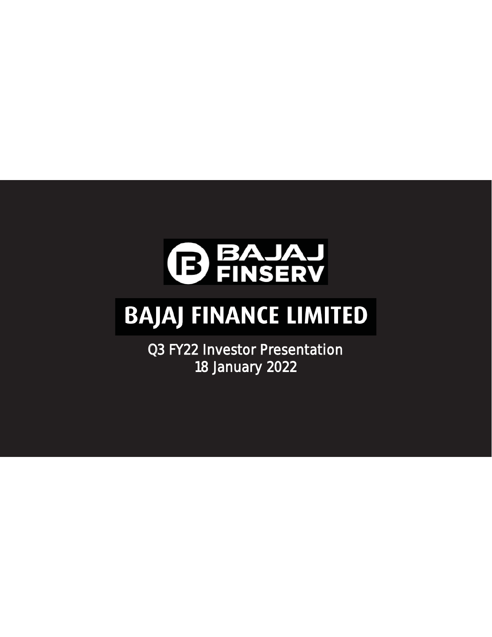

# **BAJAJ FINANCE LIMITED**

Q3 FY22 Investor Presentation 18 January 2022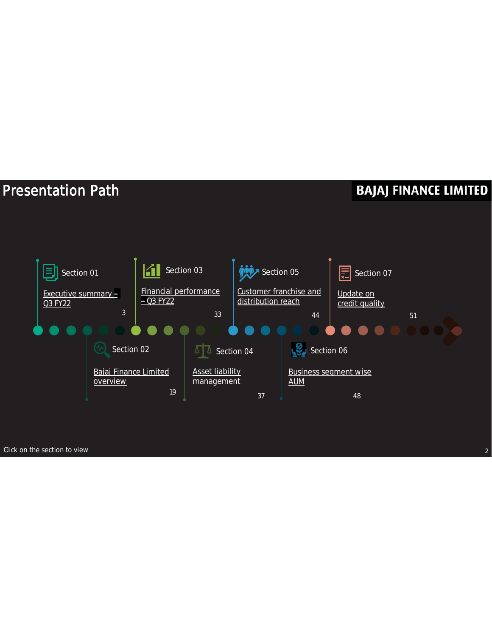### Presentation Path



Click on the section to view 22 and 22 and 22 and 22 and 22 and 22 and 22 and 22 and 22 and 22 and 22 and 22 and 22 and 22 and 22 and 22 and 22 and 22 and 22 and 22 and 22 and 22 and 22 and 22 and 22 and 22 and 22 and 22 a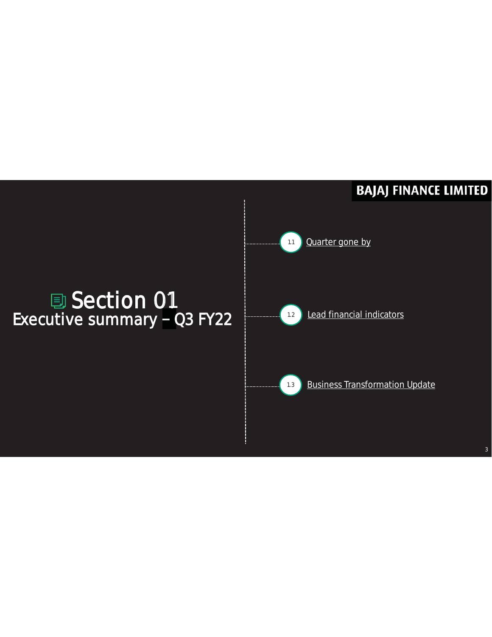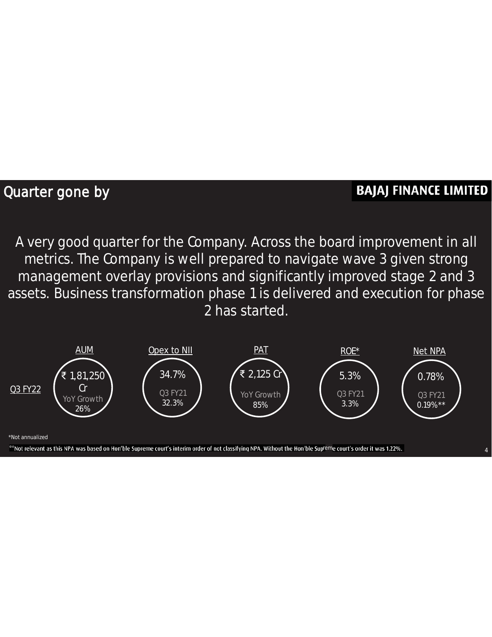#### Quarter gone by

#### **BAJAJ FINANCE LIMITED**

4

A very good quarter for the Company. Across the board improvement in all metrics. The Company is well prepared to navigate wave 3 given strong management overlay provisions and significantly improved stage 2 and 3 assets. Business transformation phase 1 is delivered and execution for phase 2 has started.



<sup>\*</sup>Not annualized

\*\*Not relevant as this NPA was based on Hon'ble Supreme court's interim order of not classifying NPA. Without the Hon'ble Supreme court's order it was 1.22%.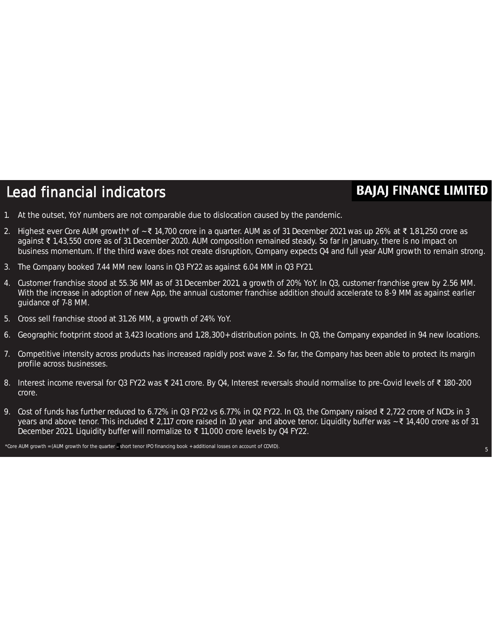### Lead financial indicators

#### **BAJAJ FINANCE LIMITED**

- 1. At the outset, YoY numbers are not comparable due to dislocation caused by the pandemic.
- 2. Highest ever Core AUM growth\* of ~ ₹ 14,700 crore in a quarter. AUM as of 31 December 2021 was up 26% at ₹ 1,81,250 crore as against ₹ 1,43,550 crore as of 31 December 2020. AUM composition remained steady. So far in January, there is no impact on business momentum. If the third wave does not create disruption, Company expects Q4 and full year AUM growth to remain strong.
- 3. The Company booked 7.44 MM new loans in Q3 FY22 as against 6.04 MM in Q3 FY21.
- 4. Customer franchise stood at 55.36 MM as of 31 December 2021, a growth of 20% YoY. In Q3, customer franchise grew by 2.56 MM. With the increase in adoption of new App, the annual customer franchise addition should accelerate to 8-9 MM as against earlier guidance of 7-8 MM.
- 5. Cross sell franchise stood at 31.26 MM, a growth of 24% YoY.
- 6. Geographic footprint stood at 3,423 locations and 1,28,300+ distribution points. In Q3, the Company expanded in 94 new locations.
- 7. Competitive intensity across products has increased rapidly post wave 2. So far, the Company has been able to protect its margin profile across businesses.
- 8. Interest income reversal for Q3 FY22 was ₹ 241 crore. By Q4, Interest reversals should normalise to pre-Covid levels of ₹ 180-200 crore.
- 9. Cost of funds has further reduced to 6.72% in Q3 FY22 vs 6.77% in Q2 FY22. In Q3, the Company raised ₹ 2,722 crore of NCDs in 3 years and above tenor. This included ₹ 2,117 crore raised in 10 year and above tenor. Liquidity buffer was ~ ₹ 14,400 crore as of 31 December 2021. Liquidity buffer will normalize to ₹ 11,000 crore levels by Q4 FY22.

\*Core AUM growth = (AUM growth for the quarter short tenor IPO financing book + additional losses on account of COVID).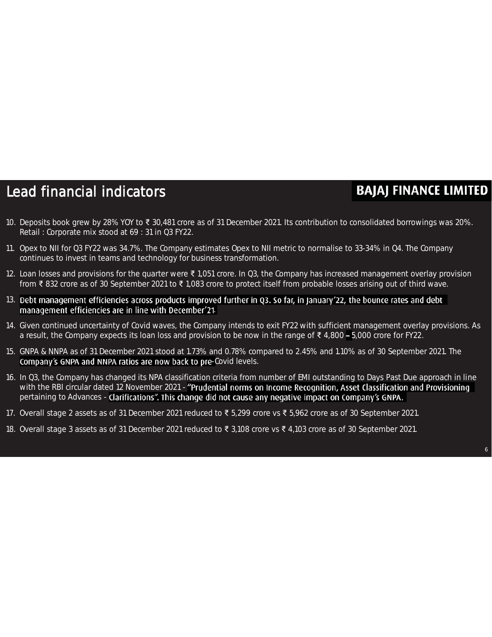#### Lead financial indicators

- 10. Deposits book grew by 28% YOY to ₹ 30,481 crore as of 31 December 2021. Its contribution to consolidated borrowings was 20%. Retail : Corporate mix stood at 69 : 31 in Q3 FY22.
- 11. Opex to NII for Q3 FY22 was 34.7%. The Company estimates Opex to NII metric to normalise to 33-34% in Q4. The Company continues to invest in teams and technology for business transformation.
- 12. Loan losses and provisions for the quarter were ₹ 1,051 crore. In Q3, the Company has increased management overlay provision from ₹ 832 crore as of 30 September 2021 to ₹ 1,083 crore to protect itself from probable losses arising out of third wave.
- 13. Debt management efficiencies across products improved further in Q3. So far, in January'22, the bounce rates and debt management efficiencies are in line with December'21.
- 14. Given continued uncertainty of Covid waves, the Company intends to exit FY22 with sufficient management overlay provisions. As a result, the Company expects its loan loss and provision to be now in the range of ₹4,800 – 5,000 crore for FY22.
- 15. GNPA & NNPA as of 31 December 2021 stood at 1.73% and 0.78% compared to 2.45% and 1.10% as of 30 September 2021. The Company's GNPA and NNPA ratios are now back to pre-Covid levels.
- 16. In Q3, the Company has changed its NPA classification criteria from number of EMI outstanding to Days Past Due approach in line with the RBI circular dated 12 November 2021 - "Prudential norms on Income Recognition, Asset Classification and Provisioning pertaining to Advances - Clarifications". This change did not cause any negative impact on Company's GNPA.
- 17. Overall stage 2 assets as of 31 December 2021 reduced to ₹ 5,299 crore vs ₹ 5,962 crore as of 30 September 2021.
- 18. Overall stage 3 assets as of 31 December 2021 reduced to ₹ 3,108 crore vs ₹ 4,103 crore as of 30 September 2021.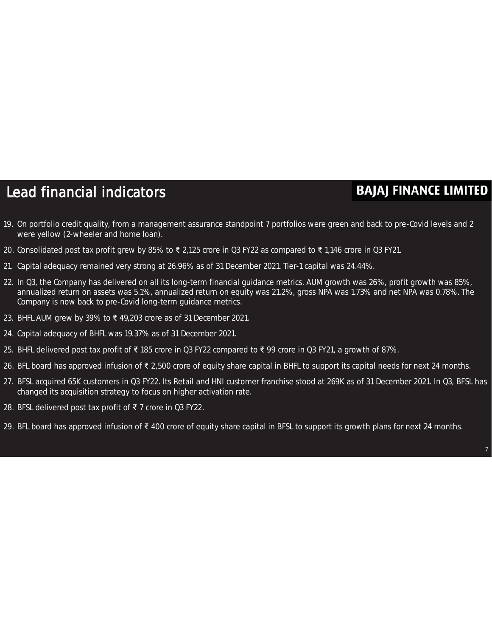#### Lead financial indicators

- 19. On portfolio credit quality, from a management assurance standpoint 7 portfolios were green and back to pre-Covid levels and 2 were yellow (2-wheeler and home loan).
- 20. Consolidated post tax profit grew by 85% to ₹ 2,125 crore in Q3 FY22 as compared to ₹ 1,146 crore in Q3 FY21.
- 21. Capital adequacy remained very strong at 26.96% as of 31 December 2021. Tier-1 capital was 24.44%.
- 22. In Q3, the Company has delivered on all its long-term financial guidance metrics. AUM growth was 26%, profit growth was 85%, annualized return on assets was 5.1%, annualized return on equity was 21.2%, gross NPA was 1.73% and net NPA was 0.78%. The Company is now back to pre-Covid long-term guidance metrics.
- 23. BHFL AUM grew by 39% to ₹ 49,203 crore as of 31 December 2021.
- 24. Capital adequacy of BHFL was 19.37% as of 31 December 2021.
- 25. BHFL delivered post tax profit of ₹ 185 crore in Q3 FY22 compared to ₹ 99 crore in Q3 FY21, a growth of 87%.
- 26. BFL board has approved infusion of ₹ 2,500 crore of equity share capital in BHFL to support its capital needs for next 24 months.
- 27. BFSL acquired 65K customers in Q3 FY22. Its Retail and HNI customer franchise stood at 269K as of 31 December 2021. In Q3, BFSL has changed its acquisition strategy to focus on higher activation rate.
- 28. BFSL delivered post tax profit of ₹ 7 crore in Q3 FY22.
- 29. BFL board has approved infusion of ₹ 400 crore of equity share capital in BFSL to support its growth plans for next 24 months.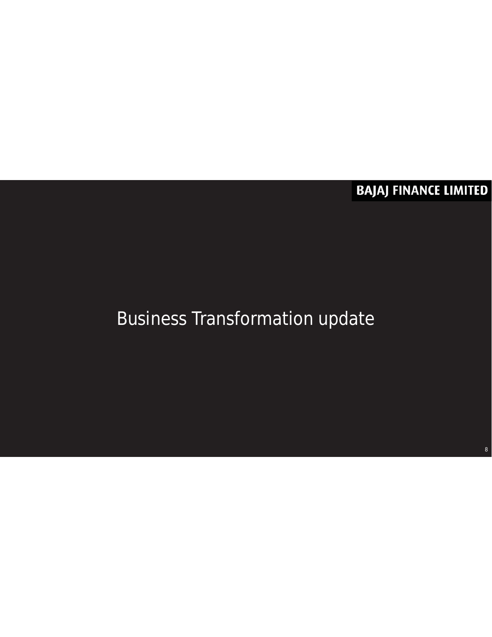**BAJAJ FINANCE LIMITED** 

### Business Transformation update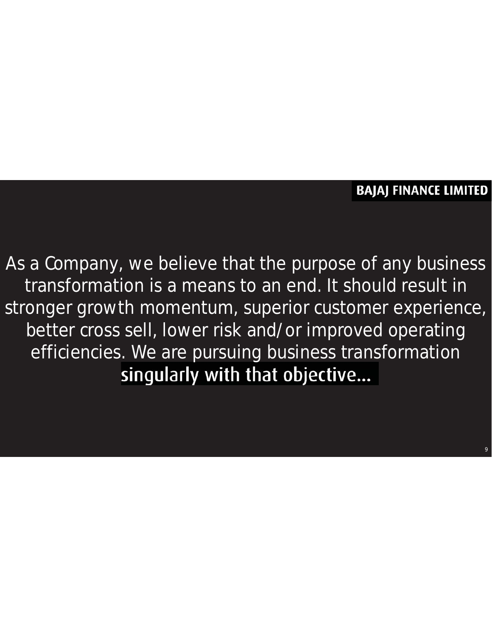#### **BAJAJ FINANCE LIMITED**

9

As a Company, we believe that the purpose of any business transformation is a means to an end. It should result in stronger growth momentum, superior customer experience, better cross sell, lower risk and/or improved operating efficiencies. We are pursuing business transformation singularly with that objective...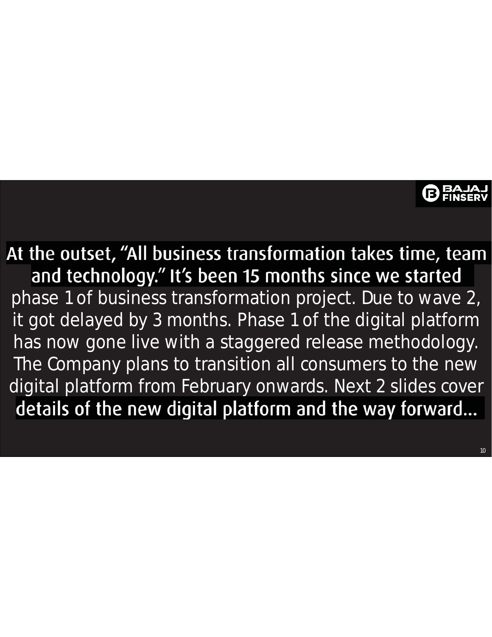At the outset, "All business transformation takes time, team and technology." It's been 15 months since we started phase 1 of business transformation project. Due to wave 2, it got delayed by 3 months. Phase 1 of the digital platform has now gone live with a staggered release methodology. The Company plans to transition all consumers to the new digital platform from February onwards. Next 2 slides cover details of the new digital platform and the way forward...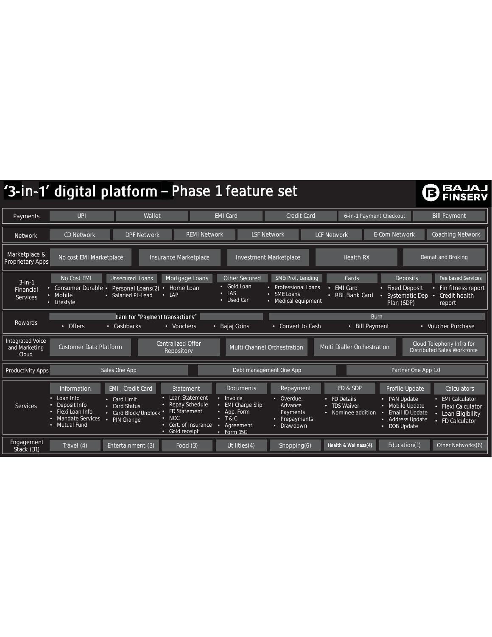|                                                   |                                                                                                              | '3-in-1' digital platform - Phase 1 feature set                                                                                            |                                                                                                                                       |                                                    |                                                                             |                                                                |                                                                                                                    | ß                                                                                              |
|---------------------------------------------------|--------------------------------------------------------------------------------------------------------------|--------------------------------------------------------------------------------------------------------------------------------------------|---------------------------------------------------------------------------------------------------------------------------------------|----------------------------------------------------|-----------------------------------------------------------------------------|----------------------------------------------------------------|--------------------------------------------------------------------------------------------------------------------|------------------------------------------------------------------------------------------------|
| Payments                                          | <b>UPI</b>                                                                                                   | Wallet                                                                                                                                     | <b>EMI Card</b>                                                                                                                       |                                                    | <b>Credit Card</b>                                                          | 6-in-1 Payment Checkout                                        |                                                                                                                    | <b>Bill Payment</b>                                                                            |
| <b>Network</b>                                    | <b>CD Network</b>                                                                                            | <b>DPF Network</b>                                                                                                                         | <b>REMI Network</b>                                                                                                                   | <b>LSF Network</b>                                 |                                                                             | <b>LCF Network</b>                                             | <b>E-Com Network</b>                                                                                               | <b>Coaching Network</b>                                                                        |
| Marketplace &<br>Proprietary Apps                 | No cost EMI Marketplace                                                                                      | Insurance Marketplace                                                                                                                      |                                                                                                                                       | Investment Marketplace                             |                                                                             | <b>Health RX</b>                                               |                                                                                                                    | Demat and Broking                                                                              |
| $3 - in - 1$<br>Financial<br><b>Services</b>      | No Cost EMI<br>Consumer Durable •<br>• Mobile<br>• Lifestyle                                                 | Unsecured Loans<br>Personal Loans(2)<br>$\bullet$<br>$\cdot$ LAP<br>• Salaried PL-Lead                                                     | Mortgage Loans<br>• Gold Loan<br>Home Loan<br>$\cdot$ LAS<br>• Used Car                                                               | <b>Other Secured</b><br>• SME Loans                | SME/Prof. Lending<br>• Professional Loans<br>• Medical equipment            | Cards<br><b>EMI Card</b><br>٠<br>• RBL Bank Card               | <b>Deposits</b><br>• Fixed Deposit<br><b>Systematic Dep</b><br>Plan (SDP)                                          | Fee based Services<br>Fin fitness report<br>Credit health<br>о<br>report                       |
| Rewards                                           | • Offers                                                                                                     | Earn For "Payment transactions"<br>• Cashbacks<br>• Vouchers                                                                               | • Bajaj Coins                                                                                                                         |                                                    | • Convert to Cash                                                           | <b>Burn</b><br>• Bill Payment                                  |                                                                                                                    | • Voucher Purchase                                                                             |
| <b>Integrated Voice</b><br>and Marketing<br>Cloud | <b>Customer Data Platform</b>                                                                                | <b>Centralized Offer</b><br>Repository                                                                                                     |                                                                                                                                       | <b>Multi Channel Orchestration</b>                 |                                                                             | <b>Multi Dialler Orchestration</b>                             |                                                                                                                    | Cloud Telephony Infra for<br><b>Distributed Sales Workforce</b>                                |
| Productivity Apps                                 |                                                                                                              | Sales One App                                                                                                                              |                                                                                                                                       | Debt management One App                            |                                                                             |                                                                | Partner One App 1.0                                                                                                |                                                                                                |
| <b>Services</b>                                   | Information<br>Loan Info<br>Deposit Info<br>Flexi Loan Info<br><b>Mandate Services</b><br>٠<br>• Mutual Fund | EMI, Credit Card<br>• Card Limit<br>• Card Status<br>• FD Statement<br>• Card Block/Unblock<br>$\cdot$ NOC<br>PIN Change<br>• Gold receipt | Statement<br>Loan Statement<br>• Invoice<br>• Repay Schedule<br>• App. Form<br>$\cdot$ T&C<br>• Cert. of Insurance<br>о<br>• Form 15G | <b>Documents</b><br>• EMI Charge Slip<br>Agreement | Repayment<br>• Overdue.<br>Advance<br>Payments<br>Prepayments<br>• Drawdown | FD & SDP<br>• FD Details<br>• TDS Waiver<br>• Nominee addition | Profile Update<br>• PAN Update<br>• Mobile Update<br>Email ID Update<br><b>Address Update</b><br>٠<br>• DOB Update | Calculators<br>• EMI Calculator<br>• Flexi Calculator<br>• Loan Eligibility<br>• FD Calculator |
| Engagement<br>Stack (31)                          | Travel (4)                                                                                                   | Entertainment (3)                                                                                                                          | Food $(3)$                                                                                                                            | Utilities(4)                                       | Shopping(6)                                                                 | Health & Wellness(4)                                           | Education(1)                                                                                                       | Other Networks(6)                                                                              |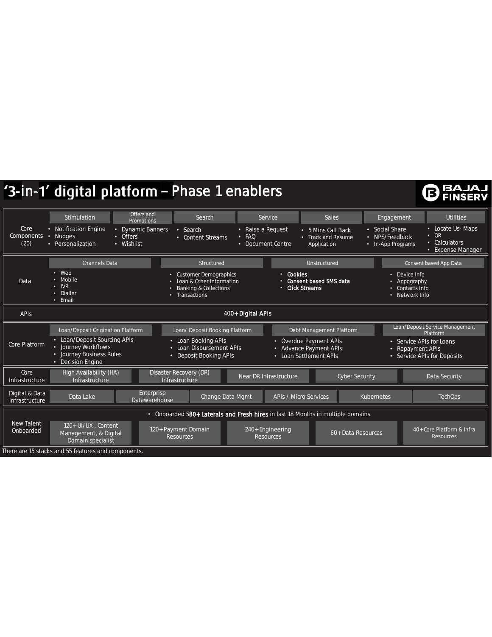### '3-in-1' digital platform - Phase 1 enablers

### **BAJAJ**

|                                   | Stimulation                                                                                                                               | Offers and<br>Promotions                                                                    | Search                                                                                                              | Service                                                                         | <b>Sales</b>                                                                                                             | Engagement                                            | <b>Utilities</b>                                                                        |  |
|-----------------------------------|-------------------------------------------------------------------------------------------------------------------------------------------|---------------------------------------------------------------------------------------------|---------------------------------------------------------------------------------------------------------------------|---------------------------------------------------------------------------------|--------------------------------------------------------------------------------------------------------------------------|-------------------------------------------------------|-----------------------------------------------------------------------------------------|--|
| Core<br><b>Components</b><br>(20) | • Notification Engine<br>· Nudges<br>• Personalization                                                                                    | <b>Dynamic Banners</b><br>$\bullet$<br>• Offers<br>• Wishlist                               | $\cdot$ Search<br>• Content Streams                                                                                 | • Raise a Request<br>$·$ FAO<br>Document Centre<br>٠                            | • 5 Mins Call Back<br>• Track and Resume<br>Application                                                                  | • Social Share<br>• NPS/Feedback<br>• In-App Programs | • Locate Us- Maps<br>OR<br>$\bullet$<br>Calculators<br>٠<br><b>Expense Manager</b><br>٠ |  |
|                                   | <b>Channels Data</b>                                                                                                                      |                                                                                             | Structured                                                                                                          |                                                                                 | Unstructured                                                                                                             |                                                       | Consent based App Data                                                                  |  |
| Data                              | $\cdot$ Web<br>Mobile<br>$\cdot$ IVR<br>• Dialler<br>• Email                                                                              | $\bullet$                                                                                   | <b>Customer Demographics</b><br>Loan & Other Information<br><b>Banking &amp; Collections</b><br><b>Transactions</b> | • Cookies                                                                       | <b>Consent based SMS data</b><br><b>Click Streams</b>                                                                    |                                                       | Device Info<br>Appography<br>Contacts Info<br>• Network Info                            |  |
| 400+ Digital APIs<br><b>APIS</b>  |                                                                                                                                           |                                                                                             |                                                                                                                     |                                                                                 |                                                                                                                          |                                                       |                                                                                         |  |
| Core Platform                     | Loan/Deposit Origination Platform<br>• Loan/Deposit Sourcing APIs<br>• Journey Workflows<br>• Journey Business Rules<br>• Decision Engine | Loan/ Deposit Booking Platform<br>• Loan Booking APIs<br>۰                                  | Debt Management Platform<br>Overdue Payment APIs<br><b>Advance Payment APIs</b><br>Loan Settlement APIs             |                                                                                 | Loan/Deposit Service Management<br>Platform<br>• Service APIs for Loans<br>Repayment APIs<br>• Service APIs for Deposits |                                                       |                                                                                         |  |
| Core<br>Infrastructure            | High Availability (HA)<br>Infrastructure                                                                                                  | Disaster Recovery (DR)<br>Near DR Infrastructure<br><b>Cyber Security</b><br>Infrastructure |                                                                                                                     |                                                                                 |                                                                                                                          |                                                       | Data Security                                                                           |  |
| Digital & Data<br>Infrastructure  | Enterprise<br>Change Data Mgmt<br>APIs / Micro Services<br>Data Lake<br><b>Kubernetes</b><br>Datawarehouse                                |                                                                                             |                                                                                                                     |                                                                                 |                                                                                                                          |                                                       | <b>TechOps</b>                                                                          |  |
|                                   |                                                                                                                                           |                                                                                             |                                                                                                                     | • Onboarded 580+ Laterals and Fresh hires in last 18 Months in multiple domains |                                                                                                                          |                                                       |                                                                                         |  |
| <b>New Talent</b><br>Onboarded    | 120+ UI/UX, Content<br>Management, & Digital<br>Domain specialist                                                                         |                                                                                             | 120+ Payment Domain<br><b>Resources</b>                                                                             | 240+ Engineering<br><b>Resources</b>                                            | 60+ Data Resources                                                                                                       |                                                       | 40+ Core Platform & Infra<br>Resources                                                  |  |
|                                   | There are 15 stacks and 55 features and components.                                                                                       |                                                                                             |                                                                                                                     |                                                                                 |                                                                                                                          |                                                       |                                                                                         |  |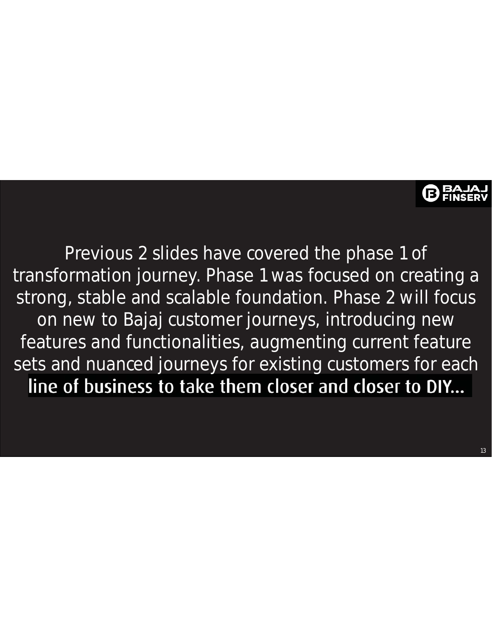

Previous 2 slides have covered the phase 1 of transformation journey. Phase 1 was focused on creating a strong, stable and scalable foundation. Phase 2 will focus on new to Bajaj customer journeys, introducing new features and functionalities, augmenting current feature sets and nuanced journeys for existing customers for each line of business to take them closer and closer to DIY...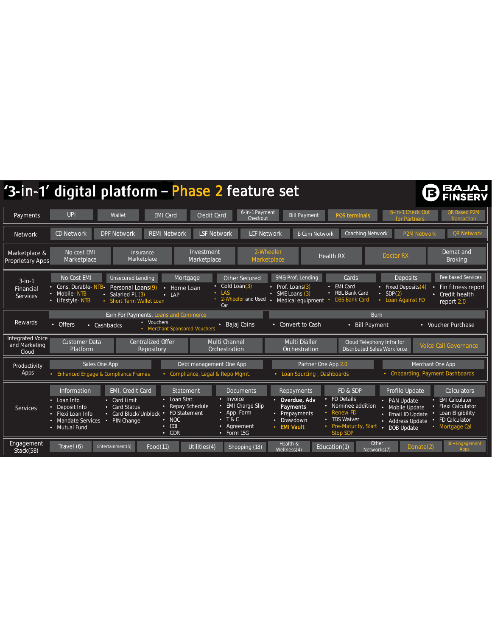|                                                   | '3-in-1' digital platform - Phase 2 feature set                                                                                                                                                                                                                                                                                                                                                                                                |                                                                                                                                                                                                                                                 | BAJAJ<br><b>ISERV</b>                                                                                                                                                                                                                |
|---------------------------------------------------|------------------------------------------------------------------------------------------------------------------------------------------------------------------------------------------------------------------------------------------------------------------------------------------------------------------------------------------------------------------------------------------------------------------------------------------------|-------------------------------------------------------------------------------------------------------------------------------------------------------------------------------------------------------------------------------------------------|--------------------------------------------------------------------------------------------------------------------------------------------------------------------------------------------------------------------------------------|
| Payments                                          | 6-in-1 Payment<br><b>UPI</b><br><b>EMI Card</b><br>Credit Card<br>Wallet<br>Checkout                                                                                                                                                                                                                                                                                                                                                           | <b>POS terminals</b><br><b>Bill Payment</b>                                                                                                                                                                                                     | 6-in-1 Check Out<br><b>QR Based P2M</b><br>for Partners<br>Transaction                                                                                                                                                               |
| <b>Network</b>                                    | <b>REMI Network</b><br>CD Network<br><b>DPF Network</b><br><b>LSF Network</b>                                                                                                                                                                                                                                                                                                                                                                  | <b>E-Com Network</b><br><b>Coaching Network</b><br><b>LCF Network</b>                                                                                                                                                                           | <b>QR Network</b><br><b>P2M Network</b>                                                                                                                                                                                              |
| Marketplace &<br><b>Proprietary Apps</b>          | No cost EMI<br>Investment<br><b>Insurance</b><br>Marketplace<br>Marketplace<br>Marketplace                                                                                                                                                                                                                                                                                                                                                     | 2-Wheeler<br><b>Health RX</b><br>Marketplace                                                                                                                                                                                                    | Demat and<br>Doctor RX<br><b>Broking</b>                                                                                                                                                                                             |
| $3$ -in-1<br>Financial<br><b>Services</b>         | No Cost EMI<br>Other Secured<br><b>Unsecured Lending</b><br>Mortgage<br>$\cdot$ Gold Loan(3)<br>Cons. Durable-NTB.<br>Personal Loans(9)<br>• Home Loan<br>$\cdot$ LAS<br>• Mobile-NTB<br>Salaried PL (3)<br>$\bullet$<br>$\cdot$ LAP<br>• 2-Wheeler and Used .<br>• Lifestyle-NTB<br><b>Short Term Wallet Loan</b><br>Car                                                                                                                      | SME/Prof. Lending<br>Cards<br>• EMI Card<br>• Prof. Loans(3)<br>• RBL Bank Card<br>• SME Loans (3)<br><b>DBS Bank Card</b><br>Medical equipment                                                                                                 | <b>Deposits</b><br>Fee based Services<br>• Fixed Deposits(4)<br>• Fin fitness report<br>$\cdot$ SDP(2)<br>• Credit health<br>• Loan Against FD<br>report 2.0                                                                         |
| Rewards                                           | Earn For Payments, Loans and Commerce<br>• Vouchers<br>• Bajaj Coins<br>• Offers<br>• Cashbacks<br>• Merchant Sponsored Vouchers                                                                                                                                                                                                                                                                                                               | <b>Burn</b><br>• Convert to Cash<br><b>Bill Payment</b><br>$\bullet$                                                                                                                                                                            | • Voucher Purchase                                                                                                                                                                                                                   |
| <b>Integrated Voice</b><br>and Marketing<br>Cloud | <b>Customer Data</b><br><b>Centralized Offer</b><br>Multi Channel<br>Platform<br>Orchestration<br>Repository                                                                                                                                                                                                                                                                                                                                   | <b>Multi Dialler</b><br>Cloud Telephony Infra for<br><b>Distributed Sales Workforce</b><br>Orchestration                                                                                                                                        | <b>Voice Call Governance</b>                                                                                                                                                                                                         |
| Productivity<br>Apps                              | Sales One App<br>Debt management One App<br>• Enhanced Engage & Compliance Frames<br>• Compliance, Legal & Repo Mgmt.                                                                                                                                                                                                                                                                                                                          | Partner One App 2.0<br>Loan Sourcing, Dashboards                                                                                                                                                                                                | Merchant One App<br>• Onboarding, Payment Dashboards                                                                                                                                                                                 |
| Services                                          | EMI, Credit Card<br>Information<br>Statement<br><b>Documents</b><br>• Loan Stat.<br>Invoice<br>٠<br>Loan Info<br>• Card Limit<br><b>EMI Charge Slip</b><br>• Repay Schedule<br>Deposit Info<br>• Card Status<br>• FD Statement<br>App. Form<br>٠<br>• Flexi Loan Info<br>• Card Block/Unblock<br>T & C<br>$\cdot$ NOC<br>٠<br>Mandate Services<br>• PIN Change<br>$\cdot$ COI<br>Agreement<br>• Mutual Fund<br>$\cdot$ Form 15G<br>$\cdot$ GDR | FD & SDP<br><b>Repayments</b><br>$\overline{\cdot}$ FD Details<br>• Overdue, Adv<br>• Nominee addition<br><b>Payments</b><br>• Renew FD<br>• Prepayments<br>• TDS Waiver<br>• Drawdown<br>• Pre-Maturity, Start<br>• EMI Vault<br>п<br>Stop SDP | <b>Profile Update</b><br>Calculators<br>• EMI Calculator<br>• PAN Update<br>• Flexi Calculator<br>Mobile Update<br>Loan Eligibility<br>• Email ID Update<br>FD Calculator<br>• Address Update<br>• Mortgage Cal<br><b>DOB Update</b> |
| Engagement<br>Stack(58)                           | Travel (6)<br>Food(11)<br>Entertainment(5)<br>Utilities $\overline{(4)}$<br>Shopping (18)                                                                                                                                                                                                                                                                                                                                                      | Health &<br>Other<br>Education(1)<br>Networks(7)<br>Wellness(4)                                                                                                                                                                                 | 30+ Engagement<br>Donate(2)<br><b>Apps</b>                                                                                                                                                                                           |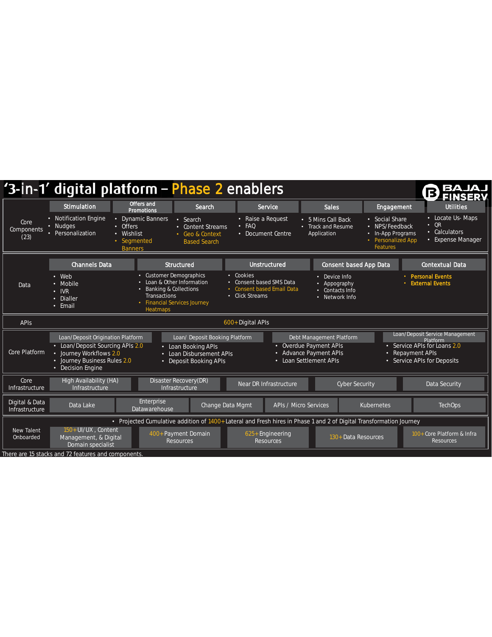|                                  | '3-in-1' digital platform - Phase 2 enablers                                                                                                                                                                                                                                                                                                                                                                                                                                                                              |                                                                                                               |                                                                         |                                                                                        |                                                                                                                   |                                                                                                        | BA<br>ß,<br>EINSEÐV                                                                       |  |
|----------------------------------|---------------------------------------------------------------------------------------------------------------------------------------------------------------------------------------------------------------------------------------------------------------------------------------------------------------------------------------------------------------------------------------------------------------------------------------------------------------------------------------------------------------------------|---------------------------------------------------------------------------------------------------------------|-------------------------------------------------------------------------|----------------------------------------------------------------------------------------|-------------------------------------------------------------------------------------------------------------------|--------------------------------------------------------------------------------------------------------|-------------------------------------------------------------------------------------------|--|
|                                  | <b>Stimulation</b>                                                                                                                                                                                                                                                                                                                                                                                                                                                                                                        | Offers and<br><b>Promotions</b>                                                                               | Search                                                                  | Service                                                                                | <b>Sales</b>                                                                                                      | Engagement                                                                                             | <b>Utilities</b>                                                                          |  |
| Core<br>Components<br>(23)       | • Notification Engine<br>• Nudges<br>• Personalization                                                                                                                                                                                                                                                                                                                                                                                                                                                                    | Dynamic Banners<br>$\bullet$<br>• Offers<br>Wishlist<br>$\bullet$<br>Segmented<br>$\bullet$<br><b>Banners</b> | • Search<br>• Content Streams<br>• Geo & Context<br><b>Based Search</b> | • Raise a Request<br>FAQ<br>٠<br>• Document Centre                                     | • 5 Mins Call Back<br>• Track and Resume<br>Application                                                           | • Social Share<br>• NPS/Feedback<br>In-App Programs<br>٠<br><b>Personalized App</b><br><b>Features</b> | Locate Us-Maps<br>٠<br>QR<br>$\bullet$<br>Calculators<br>٠<br><b>Expense Manager</b><br>٠ |  |
|                                  | <b>Channels Data</b>                                                                                                                                                                                                                                                                                                                                                                                                                                                                                                      |                                                                                                               | Structured                                                              | <b>Unstructured</b>                                                                    | <b>Consent based App Data</b>                                                                                     |                                                                                                        | <b>Contextual Data</b>                                                                    |  |
| Data                             | • Web<br>Mobile<br>$\cdot$ IVR<br>Dialler<br>$\bullet$<br>• Email                                                                                                                                                                                                                                                                                                                                                                                                                                                         | • Customer Demographics<br><b>Banking &amp; Collections</b><br><b>Transactions</b><br><b>Heatmaps</b>         | Loan & Other Information<br><b>Financial Services Journey</b>           | • Cookies<br>• Consent based SMS Data<br>• Consent based Email Data<br>• Click Streams | Device Info<br>Appography<br>• Contacts Info<br>• Network Info                                                    |                                                                                                        | <b>Personal Events</b><br><b>External Events</b>                                          |  |
| <b>APIS</b>                      |                                                                                                                                                                                                                                                                                                                                                                                                                                                                                                                           |                                                                                                               |                                                                         | 600+ Digital APIs                                                                      |                                                                                                                   |                                                                                                        |                                                                                           |  |
| Core Platform                    | Loan/Deposit Service Management<br>Loan/Deposit Origination Platform<br>Loan/ Deposit Booking Platform<br>Debt Management Platform<br>Platform<br>• Loan/Deposit Sourcing APIs 2.0<br>Overdue Payment APIs<br>• Service APIs for Loans 2.0<br>• Loan Booking APIs<br>• Advance Payment APIs<br>Journey Workflows 2.0<br>• Repayment APIs<br>• Loan Disbursement APIs<br>$\bullet$<br>• Journey Business Rules 2.0<br>• Loan Settlement APIs<br>• Service APIs for Deposits<br>• Deposit Booking APIs<br>• Decision Engine |                                                                                                               |                                                                         |                                                                                        |                                                                                                                   |                                                                                                        |                                                                                           |  |
| Core<br>Infrastructure           | <b>High Availability (HA)</b><br>Infrastructure                                                                                                                                                                                                                                                                                                                                                                                                                                                                           |                                                                                                               | Disaster Recovery(DR)<br>Infrastructure                                 | Near DR Infrastructure                                                                 | <b>Cyber Security</b>                                                                                             |                                                                                                        | Data Security                                                                             |  |
| Digital & Data<br>Infrastructure | Data Lake                                                                                                                                                                                                                                                                                                                                                                                                                                                                                                                 | Enterprise<br>Datawarehouse                                                                                   | Change Data Mgmt                                                        |                                                                                        | <b>APIs / Micro Services</b>                                                                                      | Kubernetes                                                                                             | <b>TechOps</b>                                                                            |  |
|                                  |                                                                                                                                                                                                                                                                                                                                                                                                                                                                                                                           |                                                                                                               |                                                                         |                                                                                        | Projected Cumulative addition of 1400+ Lateral and Fresh hires in Phase 1 and 2 of Digital Transformation Journey |                                                                                                        |                                                                                           |  |
| <b>New Talent</b><br>Onboarded   | 150+ UI/UX, Content<br>Management, & Digital<br>Domain specialist                                                                                                                                                                                                                                                                                                                                                                                                                                                         |                                                                                                               | 400+ Payment Domain<br><b>Resources</b>                                 | $625+$ Engineering<br><b>Resources</b>                                                 | 130+ Data Resources                                                                                               |                                                                                                        | 100+ Core Platform & Infra<br><b>Resources</b>                                            |  |
|                                  | There are 15 stacks and 72 features and components.                                                                                                                                                                                                                                                                                                                                                                                                                                                                       |                                                                                                               |                                                                         |                                                                                        |                                                                                                                   |                                                                                                        |                                                                                           |  |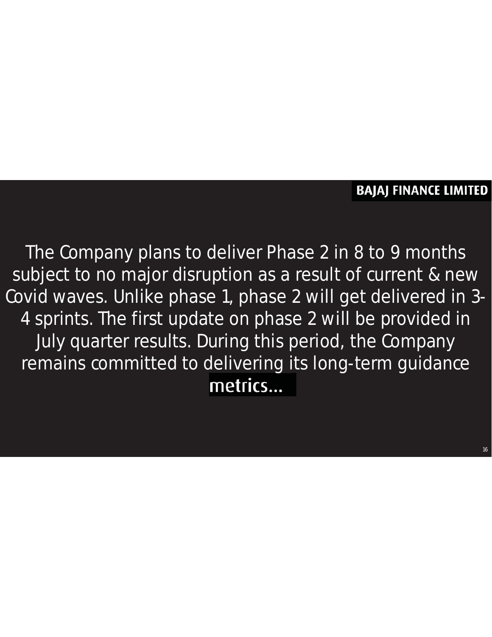#### **BAJAJ FINANCE LIMITED**

16

The Company plans to deliver Phase 2 in 8 to 9 months subject to no major disruption as a result of current & new Covid waves. Unlike phase 1, phase 2 will get delivered in 3-4 sprints. The first update on phase 2 will be provided in July quarter results. During this period, the Company remains committed to delivering its long-term guidance metrics...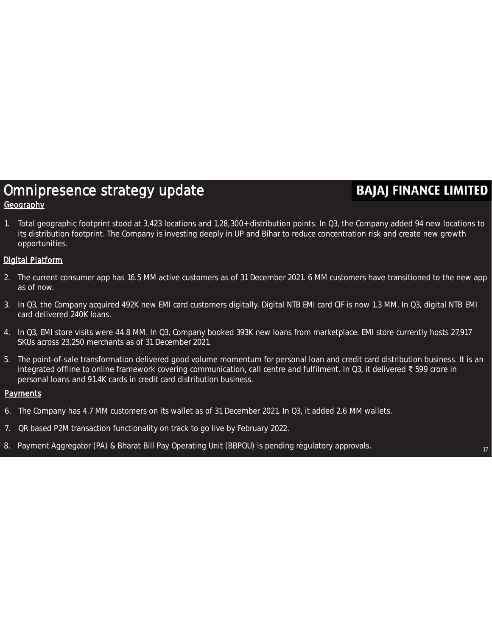#### Omnipresence strategy update **Geography**

#### **BAJAJ FINANCE LIMITED**

1. Total geographic footprint stood at 3,423 locations and 1,28,300+ distribution points. In Q3, the Company added 94 new locations to its distribution footprint. The Company is investing deeply in UP and Bihar to reduce concentration risk and create new growth opportunities.

#### Digital Platform

- 2. The current consumer app has 16.5 MM active customers as of 31 December 2021. 6 MM customers have transitioned to the new app as of now.
- 3. In Q3, the Company acquired 492K new EMI card customers digitally. Digital NTB EMI card CIF is now 1.3 MM. In Q3, digital NTB EMI card delivered 240K loans.
- 4. In Q3, EMI store visits were 44.8 MM. In Q3, Company booked 393K new loans from marketplace. EMI store currently hosts 27,917 SKUs across 23,250 merchants as of 31 December 2021.
- 5. The point-of-sale transformation delivered good volume momentum for personal loan and credit card distribution business. It is an integrated offline to online framework covering communication, call centre and fulfilment. In Q3, it delivered ₹ 599 crore in personal loans and 91.4K cards in credit card distribution business.

#### **Payments**

- 6. The Company has 4.7 MM customers on its wallet as of 31 December 2021. In Q3, it added 2.6 MM wallets.
- 7. QR based P2M transaction functionality on track to go live by February 2022.
- 8. Payment Aggregator (PA) & Bharat Bill Pay Operating Unit (BBPOU) is pending regulatory approvals.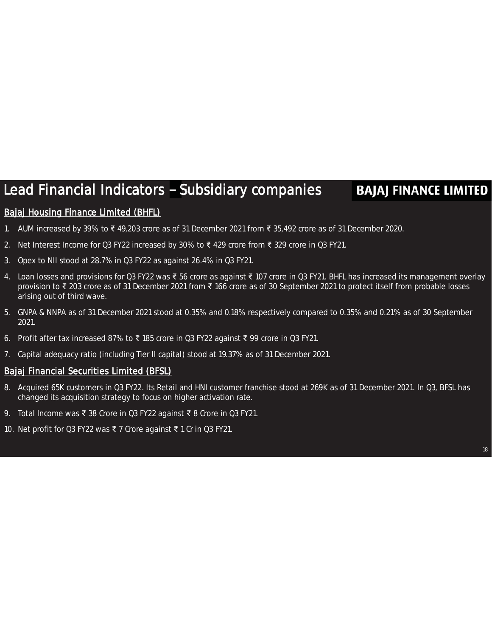### Lead Financial Indicators - Subsidiary companies

#### **BAJAJ FINANCE LIMITED**

#### Bajaj Housing Finance Limited (BHFL)

- 1. AUM increased by 39% to ₹ 49,203 crore as of 31 December 2021 from ₹ 35,492 crore as of 31 December 2020.
- 2. Net Interest Income for Q3 FY22 increased by 30% to ₹ 429 crore from ₹ 329 crore in Q3 FY21.
- 3. Opex to NII stood at 28.7% in Q3 FY22 as against 26.4% in Q3 FY21.
- 4. Loan losses and provisions for Q3 FY22 was ₹ 56 crore as against ₹ 107 crore in Q3 FY21. BHFL has increased its management overlay provision to ₹ 203 crore as of 31 December 2021 from ₹ 166 crore as of 30 September 2021 to protect itself from probable losses arising out of third wave.
- 5. GNPA & NNPA as of 31 December 2021 stood at 0.35% and 0.18% respectively compared to 0.35% and 0.21% as of 30 September 2021.
- 6. Profit after tax increased 87% to ₹ 185 crore in Q3 FY22 against ₹ 99 crore in Q3 FY21.
- 7. Capital adequacy ratio (including Tier II capital) stood at 19.37% as of 31 December 2021.

#### Bajaj Financial Securities Limited (BFSL)

- 8. Acquired 65K customers in Q3 FY22. Its Retail and HNI customer franchise stood at 269K as of 31 December 2021. In Q3, BFSL has changed its acquisition strategy to focus on higher activation rate.
- 9. Total Income was ₹ 38 Crore in Q3 FY22 against ₹ 8 Crore in Q3 FY21.
- 10. Net profit for Q3 FY22 was ₹ 7 Crore against ₹ 1 Cr in Q3 FY21.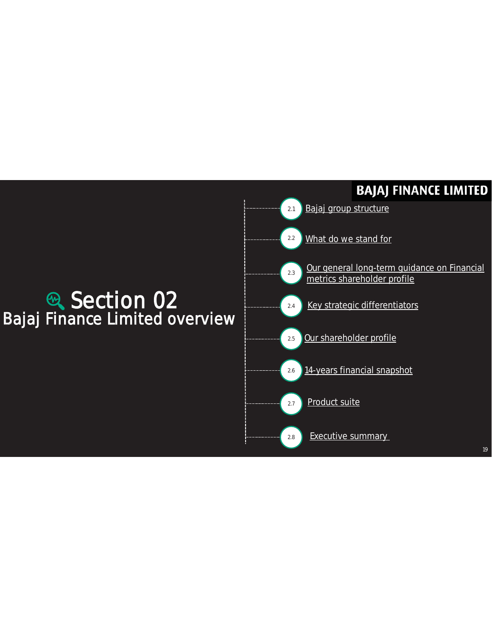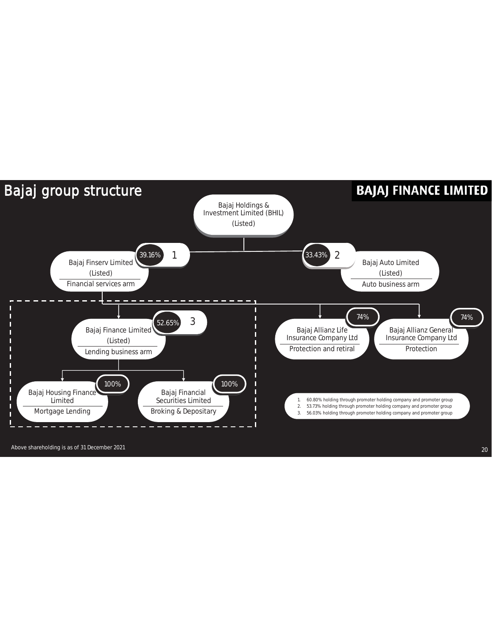

Above shareholding is as of 31 December 2021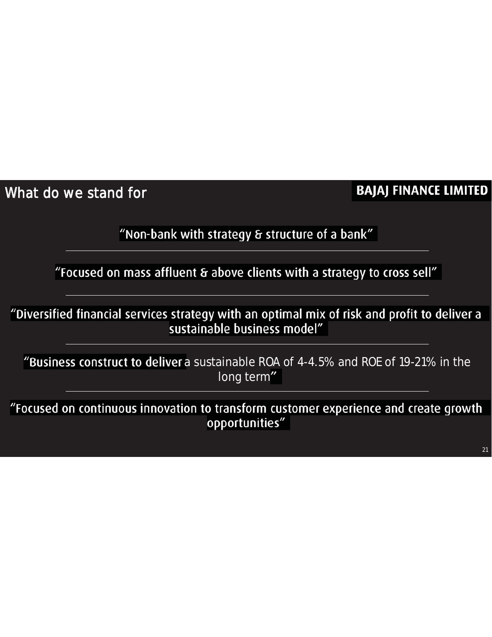What do we stand for

#### **BAJAJ FINANCE LIMITED**

"Non-bank with strategy & structure of a bank"

"Focused on mass affluent & above clients with a strategy to cross sell"

"Diversified financial services strategy with an optimal mix of risk and profit to deliver a sustainable business model"

"Business construct to deliver a sustainable ROA of 4-4.5% and ROE of 19-21% in the long term"

"Focused on continuous innovation to transform customer experience and create growth opportunities"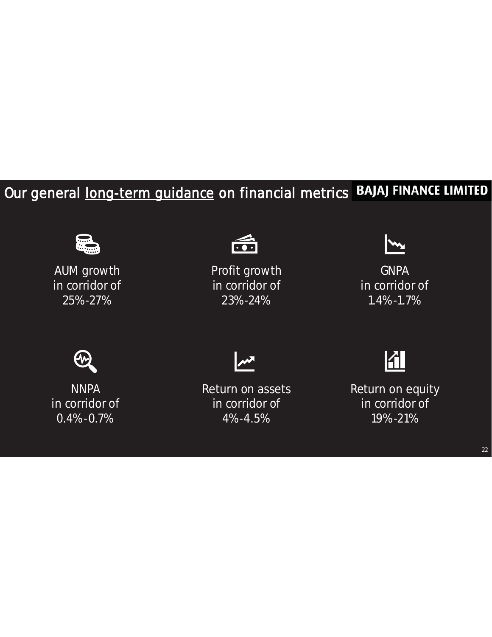### Our general long-term guidance on financial metrics BAJAJ FINANCE LIMITED



AUM growth in corridor of 25%-27%



Profit growth in corridor of 23%-24%



**GNPA** in corridor of 1.4%-1.7%



**NNPA** in corridor of 0.4%-0.7%



Return on assets in corridor of 4%-4.5%



Return on equity in corridor of 19%-21%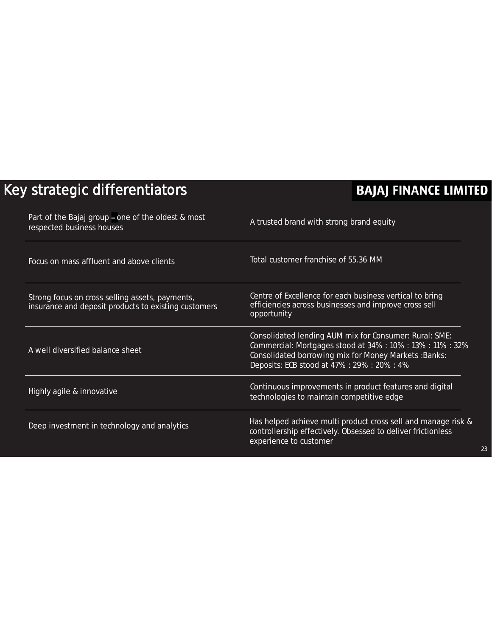### Key strategic differentiators

| Part of the Bajaj group - one of the oldest & most<br>respected business houses                         | A trusted brand with strong brand equity                                                                                                                                                                                     |
|---------------------------------------------------------------------------------------------------------|------------------------------------------------------------------------------------------------------------------------------------------------------------------------------------------------------------------------------|
| Focus on mass affluent and above clients                                                                | Total customer franchise of 55.36 MM                                                                                                                                                                                         |
| Strong focus on cross selling assets, payments,<br>insurance and deposit products to existing customers | Centre of Excellence for each business vertical to bring<br>efficiencies across businesses and improve cross sell<br>opportunity                                                                                             |
| A well diversified balance sheet                                                                        | Consolidated lending AUM mix for Consumer: Rural: SME:<br>Commercial: Mortgages stood at 34% : 10% : 13% : 11% : 32%<br>Consolidated borrowing mix for Money Markets : Banks:<br>Deposits: ECB stood at 47% : 29% : 20% : 4% |
| Highly agile & innovative                                                                               | Continuous improvements in product features and digital<br>technologies to maintain competitive edge                                                                                                                         |
| Deep investment in technology and analytics                                                             | Has helped achieve multi product cross sell and manage risk &<br>controllership effectively. Obsessed to deliver frictionless<br>experience to customer                                                                      |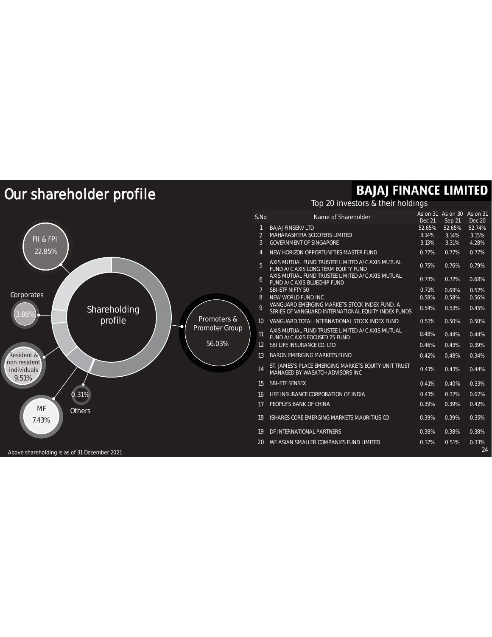### Our shareholder profile

#### Resident & Promoters & Promoter Group 56.03% 0.31% **Others** FII & FPI 22.85%  $\blacksquare$ 9.51% non resident individuals Corporates Shareholding B6% MF 7.43%

### **BAJAJ FINANCE LIMITED**

#### Top 20 investors & their holdings

| S.No              | Name of Shareholder                                                                                  | As on 31<br>Dec 21 | As on 30<br>Sep 21 | As on 31<br><b>Dec 20</b> |
|-------------------|------------------------------------------------------------------------------------------------------|--------------------|--------------------|---------------------------|
| 1                 | <b>BAJAJ FINSERV LTD</b>                                                                             | 52.65%             | 52.65%             | 52.74%                    |
| $\overline{2}$    | <b>MAHARASHTRA SCOOTERS LIMITED</b>                                                                  | 3.14%              | 3.14%              | 3.15%                     |
| 3                 | <b>GOVERNMENT OF SINGAPORE</b>                                                                       | 3.13%              | 3.31%              | 4.28%                     |
| $\overline{4}$    | NEW HORIZON OPPORTUNITIES MASTER FUND                                                                | 0.77%              | 0.77%              | 0.77%                     |
| 5                 | AXIS MUTUAL FUND TRUSTEE LIMITED A/C AXIS MUTUAL<br>FUND A/C AXIS LONG TERM EQUITY FUND              | 0.75%              | 0.76%              | 0.79%                     |
| 6                 | AXIS MUTUAL FUND TRUSTEE LIMITED A/C AXIS MUTUAL<br>FUND A/C AXIS BLUECHIP FUND                      | 0.73%              | 0.72%              | 0.68%                     |
| 7                 | <b>SBI-ETF NIFTY 50</b>                                                                              | 0.71%              | 0.69%              | 0.52%                     |
| 8                 | NEW WORLD FUND INC                                                                                   | 0.58%              | 0.58%              | 0.56%                     |
| 9                 | VANGUARD EMERGING MARKETS STOCK INDEX FUND, A<br>SERIES OF VANGUARD INTERNATIONAL FOUITY INDEX FUNDS | 0.54%              | 0.53%              | 0.45%                     |
| 10 <sup>°</sup>   | VANGUARD TOTAL INTERNATIONAL STOCK INDEX FUND                                                        | 0.51%              | 0.50%              | 0.50%                     |
| 11                | AXIS MUTUAL FUND TRUSTEE LIMITED A/C AXIS MUTUAL<br>FUND A/C AXIS FOCUSED 25 FUND                    | 0.48%              | 0.44%              | 0.44%                     |
| $12 \overline{ }$ | SBI LIFE INSURANCE CO. LTD                                                                           | 0.46%              | 0.43%              | 0.39%                     |
| 13                | <b>BARON EMERGING MARKETS FUND</b>                                                                   | 0.42%              | 0.48%              | 0.34%                     |
| 14                | ST. JAMES'S PLACE EMERGING MARKETS EQUITY UNIT TRUST<br>MANAGED BY WASATCH ADVISORS INC              | 0.41%              | 0.43%              | 0.44%                     |
| 15                | <b>SBI-ETF SENSEX</b>                                                                                | 0.41%              | 0.40%              | 0.33%                     |
| 16                | LIFE INSURANCE CORPORATION OF INDIA                                                                  | 0.41%              | 0.37%              | 0.62%                     |
| 17                | PEOPLE'S BANK OF CHINA                                                                               | 0.39%              | 0.39%              | 0.42%                     |
| 18                | ISHARES CORE EMERGING MARKETS MAURITIUS CO                                                           | 0.39%              | 0.39%              | 0.35%                     |
| 19                | DF INTERNATIONAL PARTNERS                                                                            | 0.38%              | 0.38%              | 0.38%                     |
| 20                | WE ASIAN SMALLER COMPANIES FUND LIMITED                                                              | 0.37%              | 0.51%              | 0.33%<br>24               |

Above shareholding is as of 31 December 2021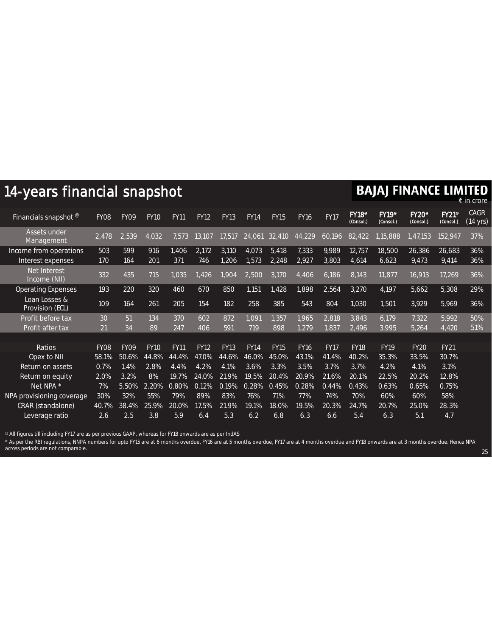| 14-years financial snapshot                 |                    |             |             |              |              |                |                |                |                |                |                                       | <b>BAJAJ FINANCE LIMITED</b>          |                                       |                                       | ₹ in crore              |
|---------------------------------------------|--------------------|-------------|-------------|--------------|--------------|----------------|----------------|----------------|----------------|----------------|---------------------------------------|---------------------------------------|---------------------------------------|---------------------------------------|-------------------------|
| Financials snapshot <sup>@</sup>            | <b>FY08</b>        | <b>FY09</b> | <b>FY10</b> | <b>FY11</b>  | <b>FY12</b>  | <b>FY13</b>    | <b>FY14</b>    | <b>FY15</b>    | <b>FY16</b>    | <b>FY17</b>    | <b>FY18</b> <sup>®</sup><br>(Consol.) | <b>FY19</b> <sup>°</sup><br>(Consol.) | <b>FY20</b> <sup>®</sup><br>(Consol.) | <b>FY21</b> <sup>°</sup><br>(Consol.) | <b>CAGR</b><br>(14 yrs) |
| Assets under<br>Management                  | $\overline{2,478}$ | 2,539       | 4,032       | 7.573        | 13,107       | 17,517         | 24,061         | 32,410         | 44,229         | 60,196         | 82,422                                | 1.15,888                              | 1,47,153                              | 152,947                               | 37%                     |
| Income from operations<br>Interest expenses | 503<br>170         | 599<br>164  | 916<br>201  | 1.406<br>371 | 2,172<br>746 | 3,110<br>1,206 | 4,073<br>1,573 | 5,418<br>2,248 | 7,333<br>2,927 | 9,989<br>3,803 | 12,757<br>4,614                       | 18,500<br>6,623                       | 26,386<br>9,473                       | 26,683<br>9,414                       | 36%<br>36%              |
| Net Interest<br>Income (NII)                | 332                | 435         | 715         | 1,035        | 1,426        | 1,904          | 2,500          | 3,170          | 4,406          | 6,186          | 8,143                                 | 11,877                                | 16,913                                | 17,269                                | 36%                     |
| <b>Operating Expenses</b>                   | 193                | 220         | 320         | 460          | 670          | 850            | 1,151          | 1,428          | 1,898          | 2,564          | 3,270                                 | 4,197                                 | 5,662                                 | 5,308                                 | 29%                     |
| Loan Losses &<br>Provision (ECL)            | 109                | 164         | 261         | 205          | 154          | 182            | 258            | 385            | 543            | 804            | 1,030                                 | 1,501                                 | 3,929                                 | 5,969                                 | 36%                     |
| Profit before tax                           | 30                 | 51          | 134         | 370          | 602          | 872            | 1,091          | 1,357          | 1,965          | 2,818          | 3,843                                 | 6,179                                 | 7,322                                 | 5,992                                 | 50%                     |
| Profit after tax                            | 21                 | 34          | 89          | 247          | 406          | 591            | 719            | 898            | 1,279          | 1,837          | 2,496                                 | 3,995                                 | 5,264                                 | 4,420                                 | 51%                     |
|                                             |                    |             |             |              |              |                |                |                |                |                |                                       |                                       |                                       |                                       |                         |
| Ratios                                      | FY <sub>08</sub>   | <b>FY09</b> | <b>FY10</b> | <b>FY11</b>  | <b>FY12</b>  | <b>FY13</b>    | <b>FY14</b>    | <b>FY15</b>    | <b>FY16</b>    | <b>FY17</b>    | <b>FY18</b>                           | <b>FY19</b>                           | <b>FY20</b>                           | <b>FY21</b>                           |                         |
| Opex to NII                                 | 58.1%              | 50.6%       | 44.8%       | 44.4%        | 47.0%        | 44.6%          | 46.0%          | 45.0%          | 43.1%          | 41.4%          | 40.2%                                 | 35.3%                                 | 33.5%                                 | 30.7%                                 |                         |
| Return on assets                            | 0.7%               | 1.4%        | 2.8%        | 4.4%         | 4.2%         | 4.1%           | 3.6%           | 3.3%           | 3.5%           | 3.7%           | 3.7%                                  | 4.2%                                  | 4.1%                                  | 3.1%                                  |                         |
| Return on equity                            | 2.0%               | 3.2%        | 8%          | 19.7%        | 24.0%        | 21.9%          | 19.5%          | 20.4%          | 20.9%          | 21.6%          | 20.1%                                 | 22.5%                                 | 20.2%                                 | 12.8%                                 |                         |
| Net NPA *                                   | 7%                 | 5.50%       | 2.20%       | 0.80%        | 0.12%        | 0.19%          | 0.28%          | 0.45%          | 0.28%          | 0.44%          | 0.43%                                 | 0.63%                                 | 0.65%                                 | 0.75%                                 |                         |
| NPA provisioning coverage                   | 30%                | 32%         | 55%         | 79%          | 89%          | 83%            | 76%            | 71%            | 77%            | 74%            | 70%                                   | 60%                                   | 60%                                   | 58%                                   |                         |
| CRAR (standalone)                           | 40.7%              | 38.4%       | 25.9%       | 20.0%        | 17.5%        | 21.9%          | 19.1%          | 18.0%          | 19.5%          | 20.3%          | 24.7%                                 | 20.7%                                 | 25.0%                                 | 28.3%                                 |                         |
| Leverage ratio                              | 2.6                | 2.5         | 3.8         | 5.9          | 6.4          | 5.3            | 6.2            | 6.8            | 6.3            | 6.6            | 5.4                                   | 6.3                                   | 5.1                                   | 4.7                                   |                         |

 $^\text{\textregistered}$  All figures till including FY17 are as per previous GAAP, whereas for FY18 onwards are as per IndAS

\* As per the RBI regulations, NNPA numbers for upto FY15 are at 6 months overdue, FY16 are at 5 months overdue, FY17 are at 4 months overdue and FY18 onwards are at 3 months overdue. Hence NPA across periods are not comparable.

25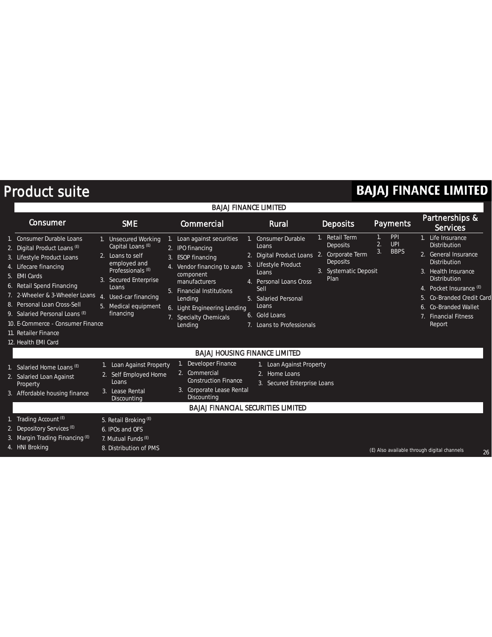### Product suite

| <b>BAJAJ FINANCE LIMITED</b>                                                                                                                                                                                                                                                                                               |                                                                                                                                                                                                                 |                                                                                                                                                                                                                                                     |                                                                                                                                                                                                                            |                                                                                                      |                                                             |                                                                                                                                                                                                                                                         |  |
|----------------------------------------------------------------------------------------------------------------------------------------------------------------------------------------------------------------------------------------------------------------------------------------------------------------------------|-----------------------------------------------------------------------------------------------------------------------------------------------------------------------------------------------------------------|-----------------------------------------------------------------------------------------------------------------------------------------------------------------------------------------------------------------------------------------------------|----------------------------------------------------------------------------------------------------------------------------------------------------------------------------------------------------------------------------|------------------------------------------------------------------------------------------------------|-------------------------------------------------------------|---------------------------------------------------------------------------------------------------------------------------------------------------------------------------------------------------------------------------------------------------------|--|
| Consumer                                                                                                                                                                                                                                                                                                                   | <b>SME</b>                                                                                                                                                                                                      | Commercial                                                                                                                                                                                                                                          | Rural                                                                                                                                                                                                                      | <b>Deposits</b>                                                                                      | <b>Payments</b>                                             | Partnerships &<br><b>Services</b>                                                                                                                                                                                                                       |  |
| Consumer Durable Loans<br>2. Digital Product Loans (E)<br>3. Lifestyle Product Loans<br>4. Lifecare financing<br>5. EMI Cards<br>6. Retail Spend Financing<br>7. 2-Wheeler & 3-Wheeler Loans<br>8. Personal Loan Cross-Sell<br>9. Salaried Personal Loans (E)<br>10. E-Commerce - Consumer Finance<br>11. Retailer Finance | 1. Unsecured Working<br>Capital Loans <sup>(E)</sup><br>2. Loans to self<br>employed and<br>Professionals $(E)$<br>3. Secured Enterprise<br>Loans<br>4. Used-car financing<br>5. Medical equipment<br>financing | Loan against securities<br>1.<br>2. IPO financing<br>3. ESOP financing<br>Vendor financing to auto<br>4.<br>component<br>manufacturers<br>5. Financial Institutions<br>Lending<br>6. Light Engineering Lending<br>7. Specialty Chemicals<br>Lending | 1. Consumer Durable<br>Loans<br>2. Digital Product Loans 2.<br>3. Lifestyle Product<br>Loans<br>4. Personal Loans Cross<br>Sell<br>5. Salaried Personal<br>Loans<br>6. Gold Loans<br>Loans to Professionals<br>$7_{\cdot}$ | <b>Retail Term</b><br>Deposits<br>Corporate Term<br><b>Deposits</b><br>3. Systematic Deposit<br>Plan | PPI<br>$1_{\cdot}$<br><b>UPI</b><br>2.<br>3.<br><b>BBPS</b> | 1. Life Insurance<br><b>Distribution</b><br>2. General Insurance<br><b>Distribution</b><br>3. Health Insurance<br><b>Distribution</b><br>4. Pocket Insurance (E)<br>Co-Branded Credit Card<br>Co-Branded Wallet<br>6.<br>7. Financial Fitness<br>Report |  |
| 12. Health EMI Card                                                                                                                                                                                                                                                                                                        |                                                                                                                                                                                                                 |                                                                                                                                                                                                                                                     |                                                                                                                                                                                                                            |                                                                                                      |                                                             |                                                                                                                                                                                                                                                         |  |
| Salaried Home Loans (E)<br>2. Salaried Loan Against<br>Property<br>3. Affordable housing finance                                                                                                                                                                                                                           | 1. Loan Against Property<br>2. Self Employed Home<br>Loans<br>3. Lease Rental<br>Discounting                                                                                                                    | <b>BAJAJ HOUSING FINANCE LIMITED</b><br><b>Developer Finance</b><br>2. Commercial<br><b>Construction Finance</b><br>Corporate Lease Rental<br>Discounting<br><b>BAJAJ FINANCIAL SECURITIES LIMITED</b>                                              | 1. Loan Against Property<br>2. Home Loans<br>3. Secured Enterprise Loans                                                                                                                                                   |                                                                                                      |                                                             |                                                                                                                                                                                                                                                         |  |
| Trading Account (E)<br>2. Depository Services <sup>(E)</sup><br>3. Margin Trading Financing (E)<br>4. HNI Broking                                                                                                                                                                                                          | 5. Retail Broking (E)<br>6. IPOs and OFS<br>7. Mutual Funds (E)<br>8. Distribution of PMS                                                                                                                       |                                                                                                                                                                                                                                                     |                                                                                                                                                                                                                            |                                                                                                      |                                                             | (E) Also available through digital channels<br>26                                                                                                                                                                                                       |  |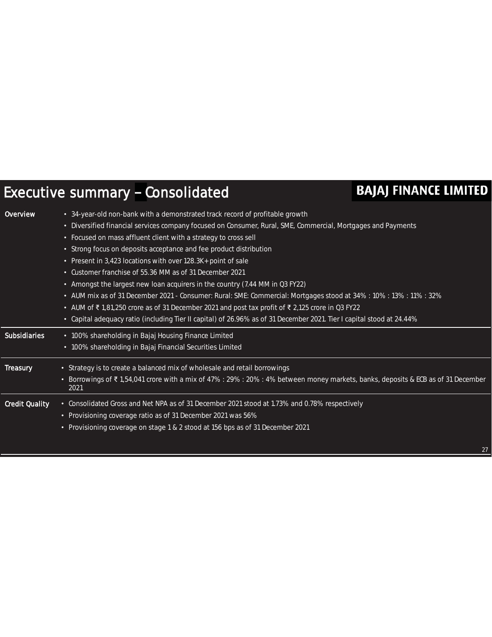### Executive summary - Consolidated

| <b>Overview</b>       | • 34-year-old non-bank with a demonstrated track record of profitable growth                                                              |
|-----------------------|-------------------------------------------------------------------------------------------------------------------------------------------|
|                       | Diversified financial services company focused on Consumer, Rural, SME, Commercial, Mortgages and Payments<br>$\bullet$                   |
|                       | Focused on mass affluent client with a strategy to cross sell<br>$\bullet$                                                                |
|                       | Strong focus on deposits acceptance and fee product distribution<br>٠                                                                     |
|                       | Present in 3,423 locations with over 128.3K+ point of sale<br>$\bullet$                                                                   |
|                       | Customer franchise of 55.36 MM as of 31 December 2021<br>$\bullet$                                                                        |
|                       | Amongst the largest new loan acquirers in the country (7.44 MM in Q3 FY22)<br>$\bullet$                                                   |
|                       | AUM mix as of 31 December 2021 - Consumer: Rural: SME: Commercial: Mortgages stood at 34%: 10%: 13%: 11%: 32%<br>٠                        |
|                       | • AUM of ₹1,81,250 crore as of 31 December 2021 and post tax profit of ₹2,125 crore in Q3 FY22                                            |
|                       | Capital adequacy ratio (including Tier II capital) of 26.96% as of 31 December 2021. Tier I capital stood at 24.44%<br>$\bullet$          |
|                       |                                                                                                                                           |
| <b>Subsidiaries</b>   | • 100% shareholding in Bajaj Housing Finance Limited                                                                                      |
|                       | 100% shareholding in Bajaj Financial Securities Limited<br>$\bullet$                                                                      |
| <b>Treasury</b>       | • Strategy is to create a balanced mix of wholesale and retail borrowings                                                                 |
|                       | • Borrowings of ₹1,54,041 crore with a mix of 47% : 29% : 20% : 4% between money markets, banks, deposits & ECB as of 31 December<br>2021 |
| <b>Credit Quality</b> | • Consolidated Gross and Net NPA as of 31 December 2021 stood at 1.73% and 0.78% respectively                                             |
|                       | • Provisioning coverage ratio as of 31 December 2021 was 56%                                                                              |
|                       | • Provisioning coverage on stage 1 & 2 stood at 156 bps as of 31 December 2021                                                            |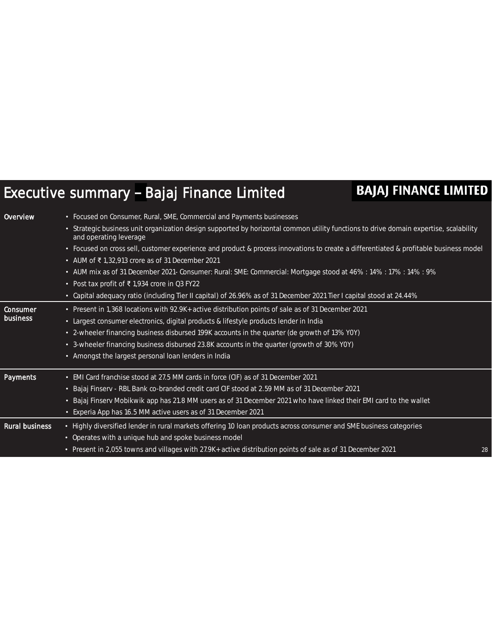### Executive summary - Bajaj Finance Limited

| <b>Overview</b>       | • Focused on Consumer, Rural, SME, Commercial and Payments businesses                                                                                           |    |
|-----------------------|-----------------------------------------------------------------------------------------------------------------------------------------------------------------|----|
|                       | • Strategic business unit organization design supported by horizontal common utility functions to drive domain expertise, scalability<br>and operating leverage |    |
|                       | • Focused on cross sell, customer experience and product & process innovations to create a differentiated & profitable business model                           |    |
|                       | • AUM of ₹1,32,913 crore as of 31 December 2021                                                                                                                 |    |
|                       | • AUM mix as of 31 December 2021- Consumer: Rural: SME: Commercial: Mortgage stood at 46%: 14%: 17%: 14%: 9%                                                    |    |
|                       | • Post tax profit of $\overline{\xi}$ 1,934 crore in Q3 FY22                                                                                                    |    |
|                       | • Capital adequacy ratio (including Tier II capital) of 26.96% as of 31 December 2021 Tier I capital stood at 24.44%                                            |    |
| <b>Consumer</b>       | • Present in 1,368 locations with 92.9K+ active distribution points of sale as of 31 December 2021                                                              |    |
| <b>business</b>       | • Largest consumer electronics, digital products & lifestyle products lender in India                                                                           |    |
|                       | • 2-wheeler financing business disbursed 199K accounts in the quarter (de growth of 13% YOY)                                                                    |    |
|                       | • 3-wheeler financing business disbursed 23.8K accounts in the quarter (growth of 30% YOY)                                                                      |    |
|                       | • Amongst the largest personal loan lenders in India                                                                                                            |    |
| <b>Payments</b>       | • EMI Card franchise stood at 27.5 MM cards in force (CIF) as of 31 December 2021                                                                               |    |
|                       | • Bajaj Finserv - RBL Bank co-branded credit card CIF stood at 2.59 MM as of 31 December 2021                                                                   |    |
|                       | • Bajaj Finserv Mobikwik app has 21.8 MM users as of 31 December 2021 who have linked their EMI card to the wallet                                              |    |
|                       | Experia App has 16.5 MM active users as of 31 December 2021                                                                                                     |    |
| <b>Rural business</b> | • Highly diversified lender in rural markets offering 10 loan products across consumer and SME business categories                                              |    |
|                       | • Operates with a unique hub and spoke business model                                                                                                           |    |
|                       | • Present in 2,055 towns and villages with 27.9K+ active distribution points of sale as of 31 December 2021                                                     | 28 |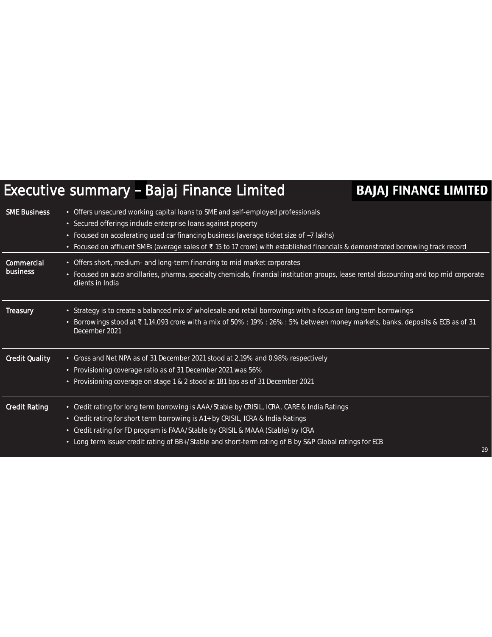### Executive summary - Bajaj Finance Limited

| <b>SME Business</b>           | • Offers unsecured working capital loans to SME and self-employed professionals<br>• Secured offerings include enterprise loans against property<br>• Focused on accelerating used car financing business (average ticket size of ~7 lakhs)<br>• Focused on affluent SMEs (average sales of ₹15 to 17 crore) with established financials & demonstrated borrowing track record |    |
|-------------------------------|--------------------------------------------------------------------------------------------------------------------------------------------------------------------------------------------------------------------------------------------------------------------------------------------------------------------------------------------------------------------------------|----|
| <b>Commercial</b><br>business | • Offers short, medium- and long-term financing to mid market corporates<br>• Focused on auto ancillaries, pharma, specialty chemicals, financial institution groups, lease rental discounting and top mid corporate<br>clients in India                                                                                                                                       |    |
| <b>Treasury</b>               | • Strategy is to create a balanced mix of wholesale and retail borrowings with a focus on long term borrowings<br>Borrowings stood at ₹1,14,093 crore with a mix of 50% : 19% : 26% : 5% between money markets, banks, deposits & ECB as of 31<br>December 2021                                                                                                                |    |
| <b>Credit Quality</b>         | • Gross and Net NPA as of 31 December 2021 stood at 2.19% and 0.98% respectively<br>• Provisioning coverage ratio as of 31 December 2021 was 56%<br>• Provisioning coverage on stage 1 & 2 stood at 181 bps as of 31 December 2021                                                                                                                                             |    |
| <b>Credit Rating</b>          | • Credit rating for long term borrowing is AAA/Stable by CRISIL, ICRA, CARE & India Ratings<br>• Credit rating for short term borrowing is A1+ by CRISIL, ICRA & India Ratings<br>• Credit rating for FD program is FAAA/Stable by CRISIL & MAAA (Stable) by ICRA<br>• Long term issuer credit rating of BB+/Stable and short-term rating of B by S&P Global ratings for ECB   | 29 |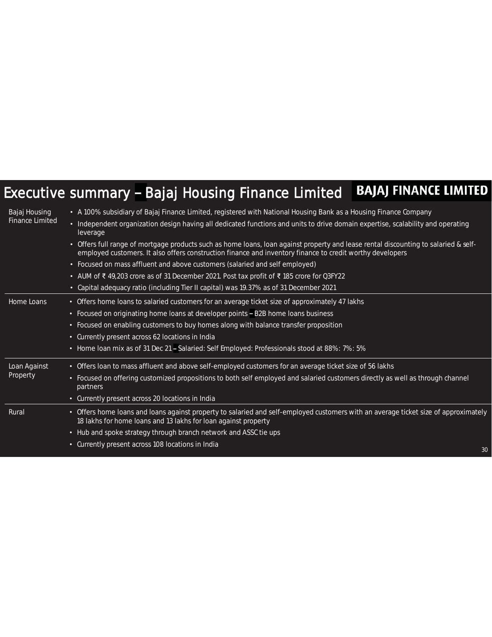### Executive summary - Bajaj Housing Finance Limited BAJAJ FINANCE LIMITED

| Bajaj Housing          | • A 100% subsidiary of Bajaj Finance Limited, registered with National Housing Bank as a Housing Finance Company                                                                                                                                            |
|------------------------|-------------------------------------------------------------------------------------------------------------------------------------------------------------------------------------------------------------------------------------------------------------|
| <b>Finance Limited</b> | • Independent organization design having all dedicated functions and units to drive domain expertise, scalability and operating<br>leverage                                                                                                                 |
|                        | Offers full range of mortgage products such as home loans, loan against property and lease rental discounting to salaried & self-<br>$\bullet$<br>employed customers. It also offers construction finance and inventory finance to credit worthy developers |
|                        | • Focused on mass affluent and above customers (salaried and self employed)                                                                                                                                                                                 |
|                        | • AUM of ₹ 49,203 crore as of 31 December 2021. Post tax profit of ₹ 185 crore for Q3FY22                                                                                                                                                                   |
|                        | • Capital adequacy ratio (including Tier II capital) was 19.37% as of 31 December 2021                                                                                                                                                                      |
| Home Loans             | • Offers home loans to salaried customers for an average ticket size of approximately 47 lakhs                                                                                                                                                              |
|                        | Focused on originating home loans at developer points - B2B home loans business<br>$\bullet$                                                                                                                                                                |
|                        | Focused on enabling customers to buy homes along with balance transfer proposition<br>$\bullet$                                                                                                                                                             |
|                        | • Currently present across 62 locations in India                                                                                                                                                                                                            |
|                        | • Home loan mix as of 31 Dec 21 - Salaried: Self Employed: Professionals stood at 88%: 7%: 5%                                                                                                                                                               |
| Loan Against           | • Offers loan to mass affluent and above self-employed customers for an average ticket size of 56 lakhs                                                                                                                                                     |
| Property               | Focused on offering customized propositions to both self employed and salaried customers directly as well as through channel<br>$\bullet$<br>partners                                                                                                       |
|                        | • Currently present across 20 locations in India                                                                                                                                                                                                            |
| Rural                  | Offers home loans and loans against property to salaried and self-employed customers with an average ticket size of approximately<br>$\bullet$<br>18 lakhs for home loans and 13 lakhs for loan against property                                            |
|                        | • Hub and spoke strategy through branch network and ASSC tie ups                                                                                                                                                                                            |
|                        | • Currently present across 108 locations in India<br>30                                                                                                                                                                                                     |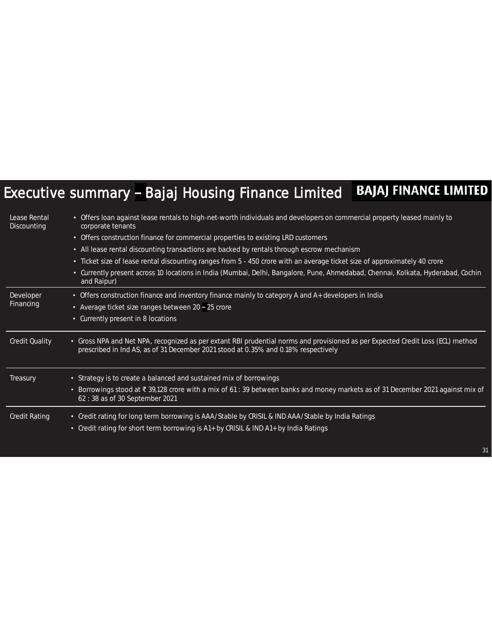### Executive summary - Bajaj Housing Finance Limited BAJAJ FINANCE LIMITED

| Lease Rental<br>Discounting | • Offers loan against lease rentals to high-net-worth individuals and developers on commercial property leased mainly to<br>corporate tenants                                                                         |
|-----------------------------|-----------------------------------------------------------------------------------------------------------------------------------------------------------------------------------------------------------------------|
|                             | • Offers construction finance for commercial properties to existing LRD customers                                                                                                                                     |
|                             | • All lease rental discounting transactions are backed by rentals through escrow mechanism                                                                                                                            |
|                             | • Ticket size of lease rental discounting ranges from 5 - 450 crore with an average ticket size of approximately 40 crore                                                                                             |
|                             | • Currently present across 10 locations in India (Mumbai, Delhi, Bangalore, Pune, Ahmedabad, Chennai, Kolkata, Hyderabad, Cochin<br>and Raipur)                                                                       |
| Developer                   | • Offers construction finance and inventory finance mainly to category A and A+ developers in India                                                                                                                   |
| Financing                   | • Average ticket size ranges between 20 - 25 crore                                                                                                                                                                    |
|                             | • Currently present in 8 locations                                                                                                                                                                                    |
| <b>Credit Quality</b>       | • Gross NPA and Net NPA, recognized as per extant RBI prudential norms and provisioned as per Expected Credit Loss (ECL) method<br>prescribed in Ind AS, as of 31 December 2021 stood at 0.35% and 0.18% respectively |
| Treasury                    | • Strategy is to create a balanced and sustained mix of borrowings                                                                                                                                                    |
|                             | Borrowings stood at ₹ 39,128 crore with a mix of 61 : 39 between banks and money markets as of 31 December 2021 against mix of<br>٠<br>62:38 as of 30 September 2021                                                  |
| <b>Credit Rating</b>        | • Credit rating for long term borrowing is AAA/Stable by CRISIL & IND AAA/Stable by India Ratings<br>• Credit rating for short term borrowing is A1+ by CRISIL & IND A1+ by India Ratings                             |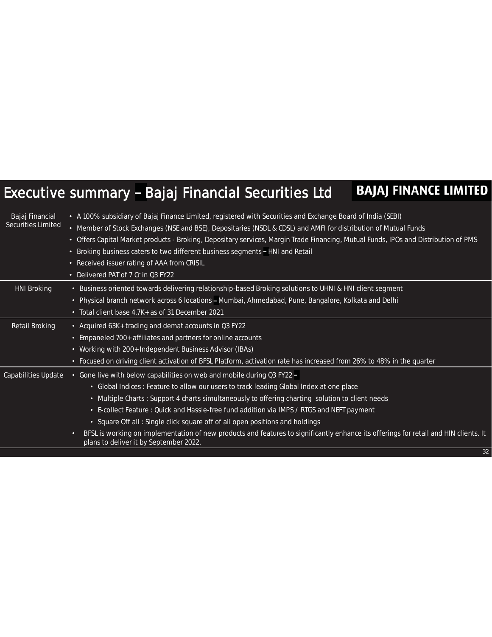#### **BAJAJ FINANCE LIMITED** Executive summary - Bajaj Financial Securities Ltd

| Bajaj Financial<br><b>Securities Limited</b> | • A 100% subsidiary of Bajaj Finance Limited, registered with Securities and Exchange Board of India (SEBI)<br>• Member of Stock Exchanges (NSE and BSE), Depositaries (NSDL & CDSL) and AMFI for distribution of Mutual Funds<br>• Offers Capital Market products - Broking, Depositary services, Margin Trade Financing, Mutual Funds, IPOs and Distribution of PMS<br>Broking business caters to two different business segments - HNI and Retail<br>$\bullet$<br>Received issuer rating of AAA from CRISIL<br>$\bullet$<br>• Delivered PAT of 7 Cr in Q3 FY22 |
|----------------------------------------------|-------------------------------------------------------------------------------------------------------------------------------------------------------------------------------------------------------------------------------------------------------------------------------------------------------------------------------------------------------------------------------------------------------------------------------------------------------------------------------------------------------------------------------------------------------------------|
| <b>HNI Broking</b>                           | • Business oriented towards delivering relationship-based Broking solutions to UHNI & HNI client segment                                                                                                                                                                                                                                                                                                                                                                                                                                                          |
|                                              | • Physical branch network across 6 locations - Mumbai, Ahmedabad, Pune, Bangalore, Kolkata and Delhi                                                                                                                                                                                                                                                                                                                                                                                                                                                              |
|                                              | • Total client base 4.7K+ as of 31 December 2021                                                                                                                                                                                                                                                                                                                                                                                                                                                                                                                  |
| Retail Broking                               | • Acquired 63K+ trading and demat accounts in Q3 FY22                                                                                                                                                                                                                                                                                                                                                                                                                                                                                                             |
|                                              | • Empaneled 700+ affiliates and partners for online accounts                                                                                                                                                                                                                                                                                                                                                                                                                                                                                                      |
|                                              | • Working with 200+ Independent Business Advisor (IBAs)                                                                                                                                                                                                                                                                                                                                                                                                                                                                                                           |
|                                              | • Focused on driving client activation of BFSL Platform, activation rate has increased from 26% to 48% in the quarter                                                                                                                                                                                                                                                                                                                                                                                                                                             |
| Capabilities Update                          | • Gone live with below capabilities on web and mobile during Q3 FY22 -                                                                                                                                                                                                                                                                                                                                                                                                                                                                                            |
|                                              | • Global Indices : Feature to allow our users to track leading Global Index at one place                                                                                                                                                                                                                                                                                                                                                                                                                                                                          |
|                                              | • Multiple Charts: Support 4 charts simultaneously to offering charting solution to client needs                                                                                                                                                                                                                                                                                                                                                                                                                                                                  |
|                                              | • E-collect Feature : Quick and Hassle-free fund addition via IMPS / RTGS and NEFT payment                                                                                                                                                                                                                                                                                                                                                                                                                                                                        |
|                                              | • Square Off all: Single click square off of all open positions and holdings                                                                                                                                                                                                                                                                                                                                                                                                                                                                                      |
|                                              | BFSL is working on implementation of new products and features to significantly enhance its offerings for retail and HIN clients. It<br>o<br>plans to deliver it by September 2022.                                                                                                                                                                                                                                                                                                                                                                               |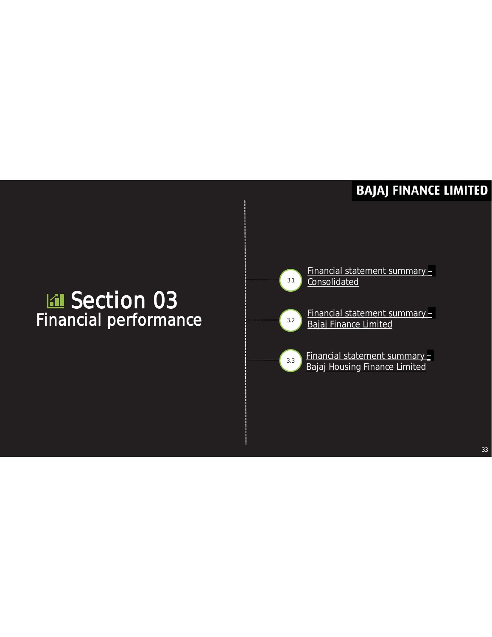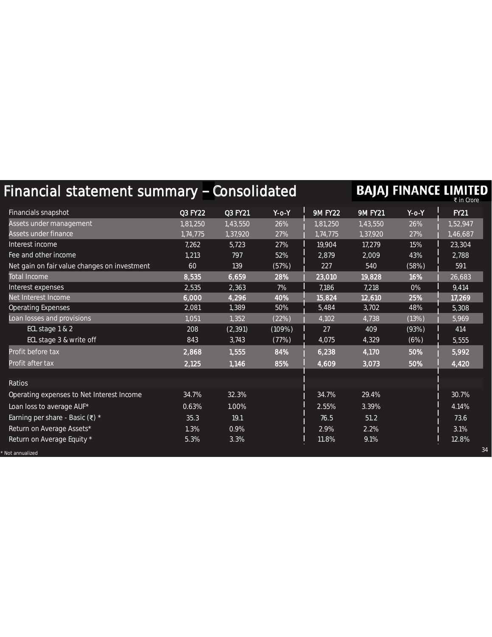| <b>BAJAJ FINANCE LIMITED</b><br>Financial statement summary - Consolidated |                |          |             |                |                |             |             |
|----------------------------------------------------------------------------|----------------|----------|-------------|----------------|----------------|-------------|-------------|
| Financials snapshot                                                        | <b>Q3 FY22</b> | Q3 FY21  | $Y$ -o- $Y$ | <b>9M FY22</b> | <b>9M FY21</b> | $Y$ -0- $Y$ | <b>FY21</b> |
| Assets under management                                                    | 1,81,250       | 1,43,550 | 26%         | 1,81,250       | 1,43,550       | 26%         | 1,52,947    |
| Assets under finance                                                       | 1,74,775       | 1,37,920 | 27%         | 1,74,775       | 1,37,920       | 27%         | 1,46,687    |
| Interest income                                                            | 7,262          | 5,723    | 27%         | 19,904         | 17,279         | 15%         | 23,304      |
| Fee and other income                                                       | 1,213          | 797      | 52%         | 2,879          | 2,009          | 43%         | 2,788       |
| Net gain on fair value changes on investment                               | 60             | 139      | (57%)       | 227            | 540            | (58%)       | 591         |
| <b>Total Income</b>                                                        | 8,535          | 6,659    | 28%         | 23,010         | 19,828         | 16%         | 26,683      |
| Interest expenses                                                          | 2,535          | 2,363    | 7%          | 7,186          | 7,218          | 0%          | 9,414       |
| Net Interest Income                                                        | 6,000          | 4,296    | 40%         | 15,824         | 12,610         | 25%         | 17,269      |
| <b>Operating Expenses</b>                                                  | 2,081          | 1,389    | 50%         | 5,484          | 3,702          | 48%         | 5,308       |
| Loan losses and provisions                                                 | 1,051          | 1,352    | (22%)       | 4,102          | 4,738          | (13%)       | 5,969       |
| ECL stage 1 & 2                                                            | 208            | (2, 391) | (109%)      | 27             | 409            | (93%)       | 414         |
| ECL stage 3 & write off                                                    | 843            | 3,743    | (77%)       | 4,075          | 4,329          | (6%)        | 5,555       |
| Profit before tax                                                          | 2,868          | 1,555    | 84%         | 6,238          | 4,170          | 50%         | 5,992       |
| Profit after tax                                                           | 2,125          | 1,146    | 85%         | 4,609          | 3,073          | 50%         | 4,420       |
| Ratios                                                                     |                |          |             |                |                |             |             |
| Operating expenses to Net Interest Income                                  | 34.7%          | 32.3%    |             | 34.7%          | 29.4%          |             | 30.7%       |
| Loan loss to average AUF*                                                  | 0.63%          | 1.00%    |             | 2.55%          | 3.39%          |             | 4.14%       |
| Earning per share - Basic ( $\bar{\tau}$ ) *                               | 35.3           | 19.1     |             | 76.5           | 51.2           |             | 73.6        |
| Return on Average Assets*                                                  | 1.3%           | 0.9%     |             | 2.9%           | 2.2%           |             | 3.1%        |
| Return on Average Equity *                                                 | 5.3%           | 3.3%     |             | 11.8%          | 9.1%           |             | 12.8%       |
| Not annualized                                                             |                |          |             |                |                |             | 34          |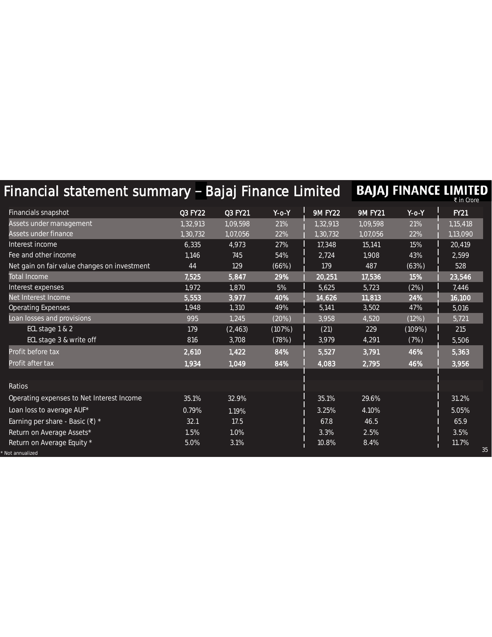| Financial statement summary - Bajaj Finance Limited |                |          |             |                |                |             | BAJAJ FINANCE LIMITED<br>₹ in Crore |
|-----------------------------------------------------|----------------|----------|-------------|----------------|----------------|-------------|-------------------------------------|
| Financials snapshot                                 | <b>Q3 FY22</b> | Q3 FY21  | $Y$ -o- $Y$ | <b>9M FY22</b> | <b>9M FY21</b> | $Y$ -0- $Y$ | <b>FY21</b>                         |
| Assets under management                             | 1,32,913       | 1,09,598 | 21%         | 1,32,913       | 1,09,598       | 21%         | 1,15,418                            |
| Assets under finance                                | 1,30,732       | 1,07,056 | 22%         | 1,30,732       | 1,07,056       | 22%         | 1,13,090                            |
| Interest income                                     | 6,335          | 4,973    | 27%         | 17,348         | 15,141         | 15%         | 20,419                              |
| Fee and other income                                | 1,146          | 745      | 54%         | 2,724          | 1,908          | 43%         | 2,599                               |
| Net gain on fair value changes on investment        | 44             | 129      | (66%)       | 179            | 487            | (63%)       | 528                                 |
| <b>Total Income</b>                                 | 7,525          | 5,847    | 29%         | 20,251         | 17,536         | 15%         | 23,546                              |
| Interest expenses                                   | 1,972          | 1,870    | 5%          | 5,625          | 5,723          | (2%)        | 7,446                               |
| Net Interest Income                                 | 5,553          | 3,977    | 40%         | 14,626         | 11,813         | 24%         | 16,100                              |
| <b>Operating Expenses</b>                           | 1,948          | 1,310    | 49%         | 5,141          | 3,502          | 47%         | 5,016                               |
| Loan losses and provisions                          | 995            | 1,245    | (20%)       | 3,958          | 4,520          | (12%)       | 5,721                               |
| ECL stage 1 & 2                                     | 179            | (2, 463) | (107%)      | (21)           | 229            | (109%)      | 215                                 |
| ECL stage 3 & write off                             | 816            | 3,708    | (78%)       | 3,979          | 4,291          | (7%)        | 5,506                               |
| Profit before tax                                   | 2,610          | 1,422    | 84%         | 5,527          | 3,791          | 46%         | 5,363                               |
| Profit after tax                                    | 1,934          | 1,049    | 84%         | 4,083          | 2,795          | 46%         | 3,956                               |
| Ratios                                              |                |          |             |                |                |             |                                     |
| Operating expenses to Net Interest Income           | 35.1%          | 32.9%    |             | 35.1%          | 29.6%          |             | 31.2%                               |
| Loan loss to average AUF*                           | 0.79%          | 1.19%    |             | 3.25%          | 4.10%          |             | 5.05%                               |
| Earning per share - Basic (₹) *                     | 32.1           | 17.5     |             | 67.8           | 46.5           |             | 65.9                                |
| Return on Average Assets*                           | 1.5%           | 1.0%     |             | 3.3%           | 2.5%           |             | 3.5%                                |
| Return on Average Equity *<br>Not annualized        | 5.0%           | 3.1%     |             | 10.8%          | 8.4%           |             | 11.7%<br>35                         |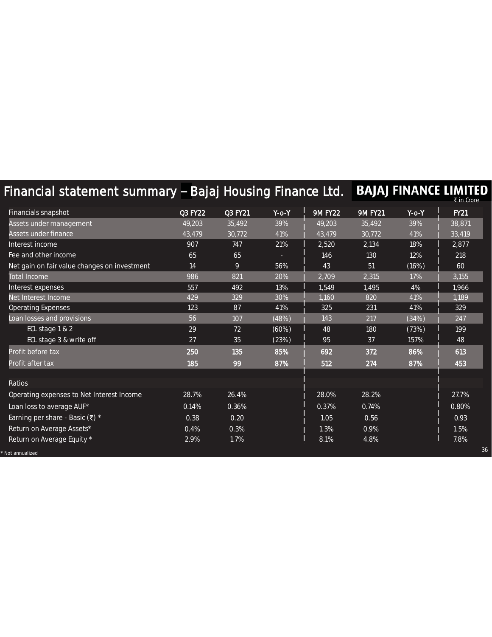| Financial statement summary - Bajaj Housing Finance Ltd. |                |         |          |                |                |             | BAJAJ FINANCE LIMITED<br>₹ in Crore |
|----------------------------------------------------------|----------------|---------|----------|----------------|----------------|-------------|-------------------------------------|
| Financials snapshot                                      | <b>Q3 FY22</b> | Q3 FY21 | $Y$ -o-Y | <b>9M FY22</b> | <b>9M FY21</b> | $Y$ -o- $Y$ | <b>FY21</b>                         |
| Assets under management                                  | 49,203         | 35,492  | 39%      | 49,203         | 35,492         | 39%         | 38,871                              |
| Assets under finance                                     | 43,479         | 30,772  | 41%      | 43,479         | 30,772         | 41%         | 33,419                              |
| Interest income                                          | 907            | 747     | 21%      | 2,520          | 2,134          | 18%         | 2,877                               |
| Fee and other income                                     | 65             | 65      |          | 146            | 130            | 12%         | 218                                 |
| Net gain on fair value changes on investment             | 14             | 9       | 56%      | 43             | 51             | (16%)       | 60                                  |
| <b>Total Income</b>                                      | 986            | 821     | 20%      | 2,709          | 2,315          | 17%         | 3,155                               |
| Interest expenses                                        | 557            | 492     | 13%      | 1,549          | 1,495          | 4%          | 1,966                               |
| Net Interest Income                                      | 429            | 329     | 30%      | 1,160          | 820            | 41%         | 1,189                               |
| <b>Operating Expenses</b>                                | 123            | 87      | 41%      | 325            | 231            | 41%         | 329                                 |
| Loan losses and provisions                               | 56             | 107     | (48%)    | 143            | 217            | (34%)       | 247                                 |
| ECL stage 1 & 2                                          | 29             | 72      | (60%)    | 48             | 180            | (73%)       | 199                                 |
| ECL stage 3 & write off                                  | 27             | 35      | (23%)    | 95             | 37             | 157%        | 48                                  |
| Profit before tax                                        | 250            | 135     | 85%      | 692            | 372            | 86%         | 613                                 |
| Profit after tax                                         | 185            | 99      | 87%      | 512            | 274            | 87%         | 453                                 |
| Ratios                                                   |                |         |          |                |                |             |                                     |
| Operating expenses to Net Interest Income                | 28.7%          | 26.4%   |          | 28.0%          | 28.2%          |             | 27.7%                               |
| Loan loss to average AUF*                                | 0.14%          | 0.36%   |          | 0.37%          | 0.74%          |             | 0.80%                               |
| Earning per share - Basic (₹) *                          | 0.38           | 0.20    |          | 1.05           | 0.56           |             | 0.93                                |
| Return on Average Assets*                                | 0.4%           | 0.3%    |          | 1.3%           | 0.9%           |             | 1.5%                                |
| Return on Average Equity *                               | 2.9%           | 1.7%    |          | 8.1%           | 4.8%           |             | 7.8%                                |
| Not annualized                                           |                |         |          |                |                |             | 36                                  |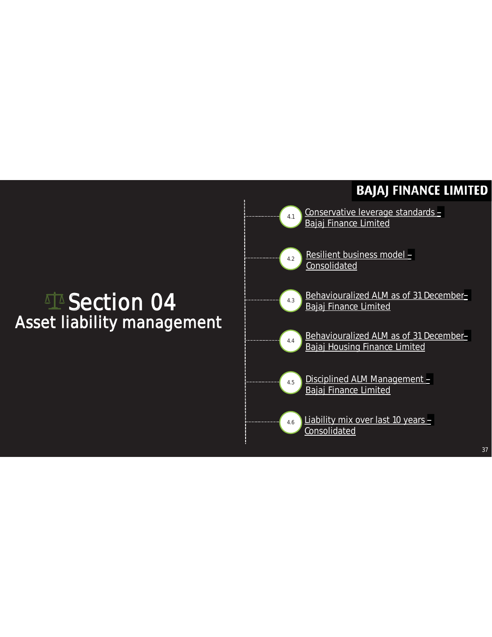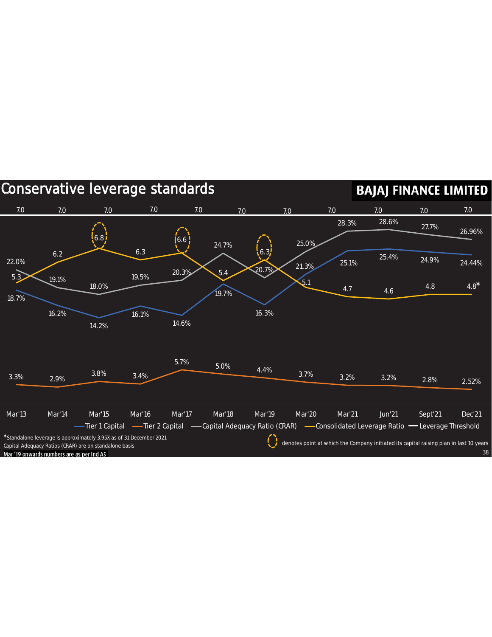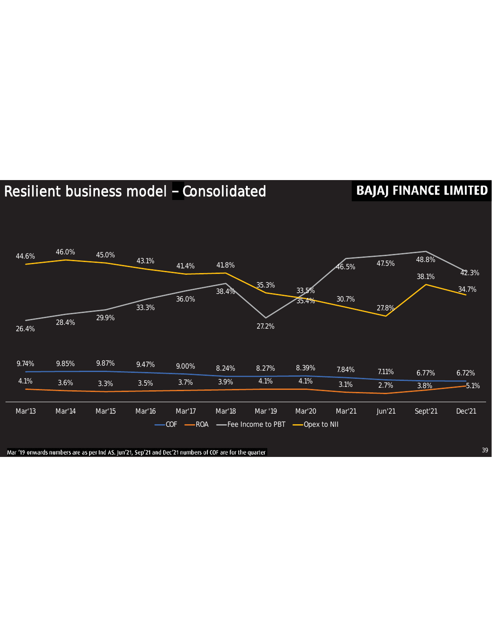### Resilient business model - Consolidated

### **BAJAJ FINANCE LIMITED**



Mar '19 onwards numbers are as per Ind AS. Jun'21, Sep'21 and Dec'21 numbers of COF are for the quarter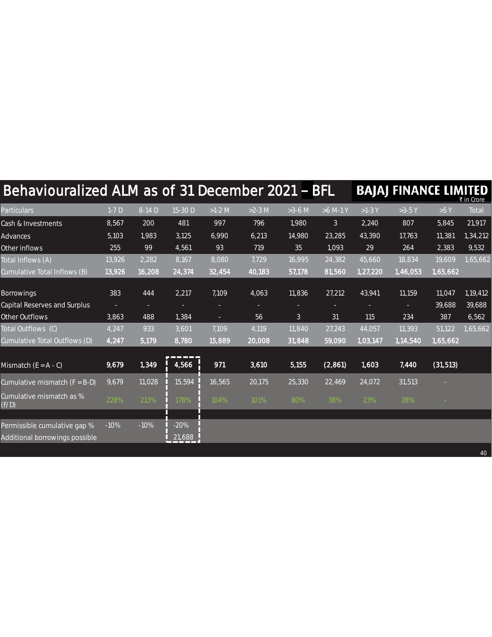| Behaviouralized ALM as of 31 December 2021 - BFL |                    |        |               |          |          |                |              |          | <b>BAJAJ FINANCE LIMITED</b> |           | ₹ in Crore |
|--------------------------------------------------|--------------------|--------|---------------|----------|----------|----------------|--------------|----------|------------------------------|-----------|------------|
| <b>Particulars</b>                               | $1-7D$             | 8-14 D | 15-30 D       | $>1-2$ M | $>2-3$ M | $>3-6$ M       | $>6$ M-1 Y   | $>1-3$ Y | $>3-5$ Y                     | >5 Y      | Total      |
| Cash & Investments                               | 8,567              | 200    | 481           | 997      | 796      | 1,980          | $\mathbf{3}$ | 2,240    | 807                          | 5,845     | 21,917     |
| Advances                                         | 5,103              | 1,983  | 3,125         | 6,990    | 6,213    | 14,980         | 23,285       | 43,390   | 17,763                       | 11,381    | 1,34,212   |
| Other inflows                                    | 255                | 99     | 4,561         | 93       | 719      | 35             | 1,093        | 29       | 264                          | 2,383     | 9,532      |
| Total Inflows (A)                                | 13,926             | 2,282  | 8,167         | 8,080    | 7,729    | 16,995         | 24,382       | 45,660   | 18,834                       | 19,609    | 1,65,662   |
| Cumulative Total Inflows (B)                     | 13,926             | 16,208 | 24,374        | 32,454   | 40,183   | 57,178         | 81,560       | 1,27,220 | 1,46,053                     | 1,65,662  |            |
| <b>Borrowings</b>                                | 383                | 444    | 2,217         | 7,109    | 4,063    | 11,836         | 27,212       | 43,941   | 11,159                       | 11,047    | 1,19,412   |
| Capital Reserves and Surplus                     | ٠                  | ٠      |               | ٠        | ٠        |                |              | ٠        |                              | 39,688    | 39,688     |
| Other Outflows                                   | 3,863              | 488    | 1,384         | ÷        | 56       | 3 <sup>1</sup> | 31           | 115      | 234                          | 387       | 6,562      |
| Total Outflows (C)                               | 4,247              | 933    | 3,601         | 7,109    | 4,119    | 11,840         | 27,243       | 44,057   | 11,393                       | 51,122    | 1,65,662   |
| Cumulative Total Outflows (D)                    | 4,247              | 5,179  | 8,780         | 15,889   | 20,008   | 31,848         | 59,090       | 1,03,147 | 1,14,540                     | 1,65,662  |            |
| Mismatch $(E = A - C)$                           | $\overline{9,679}$ | 1,349  | ----<br>4,566 | 971      | 3,610    | 5,155          | (2,861)      | 1,603    | 7,440                        | (31, 513) |            |
| Cumulative mismatch $(F = B-D)$                  | 9,679              | 11,028 | 15,594        | 16,565   | 20,175   | 25,330         | 22,469       | 24,072   | 31,513                       |           |            |
| Cumulative mismatch as %<br>(F/D)                | 228%               | 213%   | 178%          | 104%     | 101%     | 80%            | 38%          | 23%      | 28%                          |           |            |
| Permissible cumulative gap %                     | $-10%$             | $-10%$ | $-20%$        |          |          |                |              |          |                              |           |            |
| Additional borrowings possible                   |                    |        | 21,688        |          |          |                |              |          |                              |           |            |
|                                                  |                    |        |               |          |          |                |              |          |                              |           | 40         |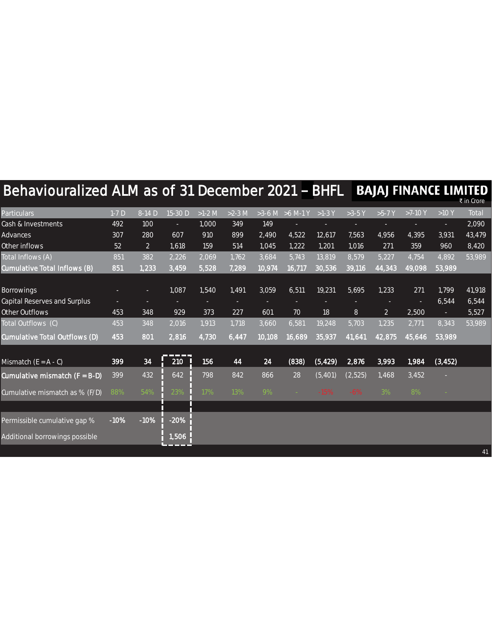| Behaviouralized ALM as of 31 December 2021 - BHFL |        |                |         |          |          |        |                    |          |          |                | <b>BAJAJ FINANCE LIMITED</b> |          | ₹ in Crore |
|---------------------------------------------------|--------|----------------|---------|----------|----------|--------|--------------------|----------|----------|----------------|------------------------------|----------|------------|
| <b>Particulars</b>                                | $1-7D$ | 8-14 D         | 15-30 D | $>1-2$ M | $>2-3$ M |        | $>3-6$ M $>6$ M-1Y | $>1-3$ Y | $>3-5$ Y | $>5-7$ Y       | $>7-10$ Y                    | >10 Y    | Total      |
| Cash & Investments                                | 492    | 100            |         | 1,000    | 349      | 149    |                    |          |          |                |                              |          | 2,090      |
| Advances                                          | 307    | 280            | 607     | 910      | 899      | 2,490  | 4,522              | 12,617   | 7,563    | 4,956          | 4,395                        | 3,931    | 43,479     |
| Other inflows                                     | 52     | $\overline{2}$ | 1,618   | 159      | 514      | 1,045  | 1,222              | 1,201    | 1,016    | 271            | 359                          | 960      | 8,420      |
| Total Inflows (A)                                 | 851    | 382            | 2,226   | 2,069    | 1,762    | 3,684  | 5,743              | 13,819   | 8,579    | 5,227          | 4,754                        | 4,892    | 53,989     |
| Cumulative Total Inflows (B)                      | 851    | 1,233          | 3,459   | 5,528    | 7,289    | 10,974 | 16,717             | 30,536   | 39,116   | 44,343         | 49,098                       | 53,989   |            |
|                                                   |        |                |         |          |          |        |                    |          |          |                |                              |          |            |
| <b>Borrowings</b>                                 |        | ٠              | 1,087   | 1,540    | 1,491    | 3,059  | 6,511              | 19,231   | 5,695    | 1,233          | 271                          | 1,799    | 41,918     |
| Capital Reserves and Surplus                      |        | ٠              |         |          | ٠        |        |                    |          |          |                |                              | 6,544    | 6,544      |
| Other Outflows                                    | 453    | 348            | 929     | 373      | 227      | 601    | 70                 | 18       | 8        | $\overline{2}$ | 2,500                        | $\equiv$ | 5,527      |
| Total Outflows (C)                                | 453    | 348            | 2,016   | 1,913    | 1,718    | 3,660  | 6,581              | 19,248   | 5,703    | 1,235          | 2,771                        | 8,343    | 53,989     |
| Cumulative Total Outflows (D)                     | 453    | 801            | 2,816   | 4,730    | 6,447    | 10,108 | 16,689             | 35,937   | 41,641   | 42,875         | 45,646                       | 53,989   |            |
| Mismatch $(E = A - C)$                            | 399    | 34             | 210     | 156      | 44       | 24     | (838)              | (5, 429) | 2,876    | 3,993          | 1,984                        | (3, 452) |            |
| Cumulative mismatch $(F = B-D)$                   | 399    | 432            | 642     | 798      | 842      | 866    | 28                 | (5, 401) | (2, 525) | 1,468          | 3,452                        |          |            |
| Cumulative mismatch as % (F/D)                    | 88%    | 54%            | 23%     | 17%      | 13%      | 9%     |                    | $-15%$   | $-6%$    | 3%             | 8%                           |          |            |
|                                                   |        |                |         |          |          |        |                    |          |          |                |                              |          |            |
| Permissible cumulative gap %                      | $-10%$ | $-10%$         | $-20%$  |          |          |        |                    |          |          |                |                              |          |            |
| Additional borrowings possible                    |        |                | 1,506   |          |          |        |                    |          |          |                |                              |          |            |
|                                                   |        |                |         |          |          |        |                    |          |          |                |                              |          | 41         |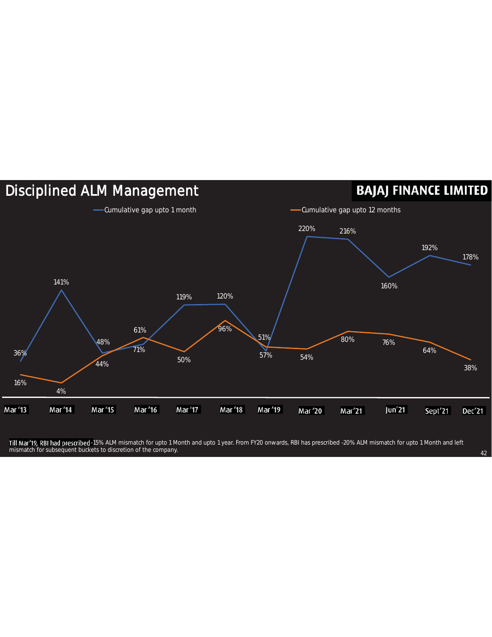

Till Mar'19, RBI had prescribed -15% ALM mismatch for upto 1 Month and upto 1 year. From FY20 onwards, RBI has prescribed -20% ALM mismatch for upto 1 Month and left mismatch for subsequent buckets to discretion of the company. And the company of the company of the company of the company of the company of the company of the company of the company of the company of the company of the co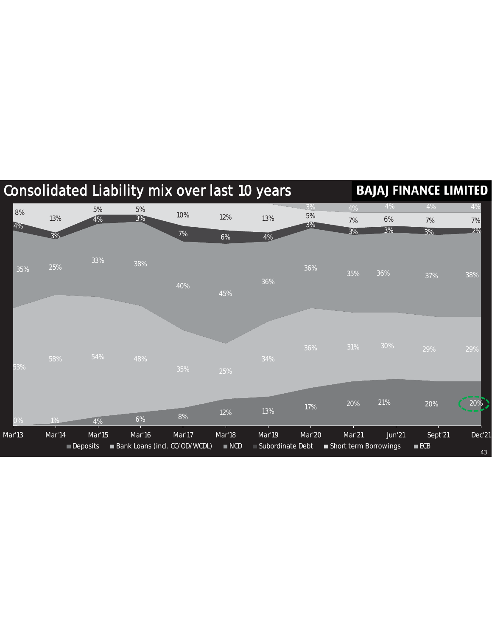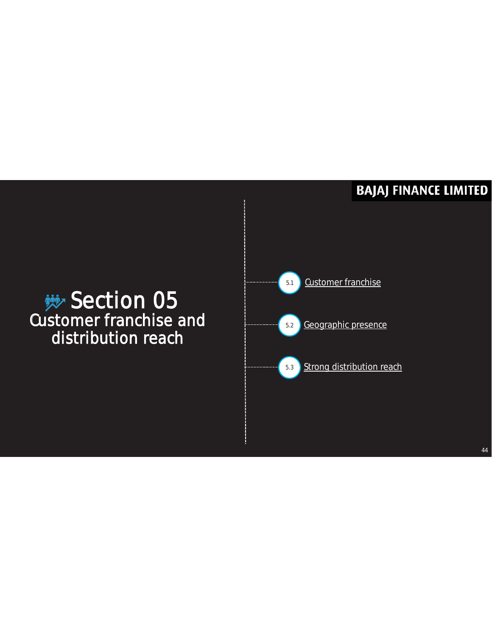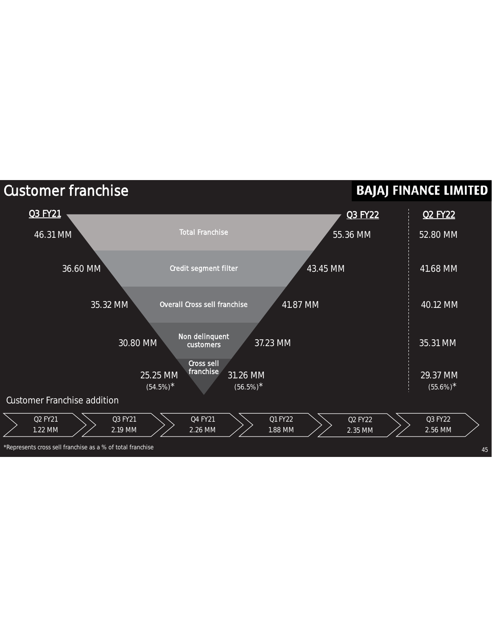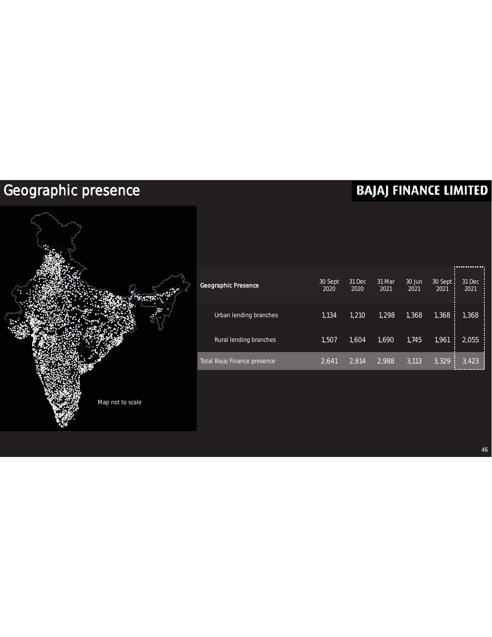### Geographic presence



|                              |                 |                |                |                |                         | .              |
|------------------------------|-----------------|----------------|----------------|----------------|-------------------------|----------------|
| Geographic Presence          | 30 Sept<br>2020 | 31 Dec<br>2020 | 31 Mar<br>2021 | 30 Jun<br>2021 | $30$ Sept:<br>2021<br>П | 31 Dec<br>2021 |
| Urban lending branches       | 1,134           | 1,210          | 1.298          | 1,368          | 1,368<br>н              | 1,368          |
| Rural lending branches       | 1,507           | 1.604          | 1.690          | 1.745          | 1,961<br>П              | 2,055          |
| Total Bajaj Finance presence | 2.641           | 2.814          | 2,988          | 3,113          | 3,329<br>F              | 3,423          |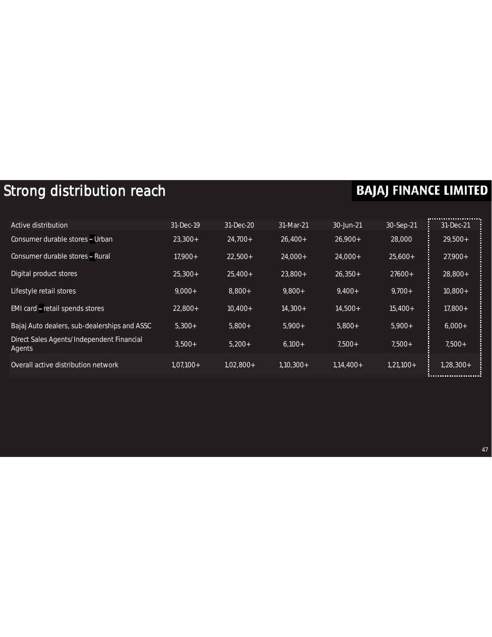### Strong distribution reach

| Active distribution                                 | 31-Dec-19   | 31-Dec-20   | 31-Mar-21   | 30-Jun-21   | 30-Sep-21   | 31-Dec-21   |
|-----------------------------------------------------|-------------|-------------|-------------|-------------|-------------|-------------|
| Consumer durable stores - Urban                     | $23.300+$   | $24.700+$   | $26,400+$   | $26,900+$   | 28,000      | $29,500+$   |
| Consumer durable stores - Rural                     | $17.900+$   | $22.500+$   | 24,000+     | $24,000+$   | $25,600+$   | $27,900+$   |
| Digital product stores                              | $25,300+$   | $25,400+$   | $23,800+$   | $26,350+$   | $27600+$    | 28,800+     |
| Lifestyle retail stores                             | $9,000+$    | $8,800+$    | $9,800+$    | $9,400+$    | $9,700+$    | $10,800+$   |
| EMI card – retail spends stores                     | $22,800+$   | $10,400+$   | $14,300+$   | $14,500+$   | $15,400+$   | 17,800+     |
| Bajaj Auto dealers, sub-dealerships and ASSC        | $5.300+$    | $5,800+$    | $5,900+$    | $5,800+$    | $5,900+$    | $6,000+$    |
| Direct Sales Agents/Independent Financial<br>Agents | $3.500+$    | $5,200+$    | $6,100+$    | $7,500+$    | $7.500+$    | $7.500+$    |
| Overall active distribution network                 | $1,07,100+$ | $1.02.800+$ | $1.10.300+$ | $1.14.400+$ | $1,21,100+$ | $1.28.300+$ |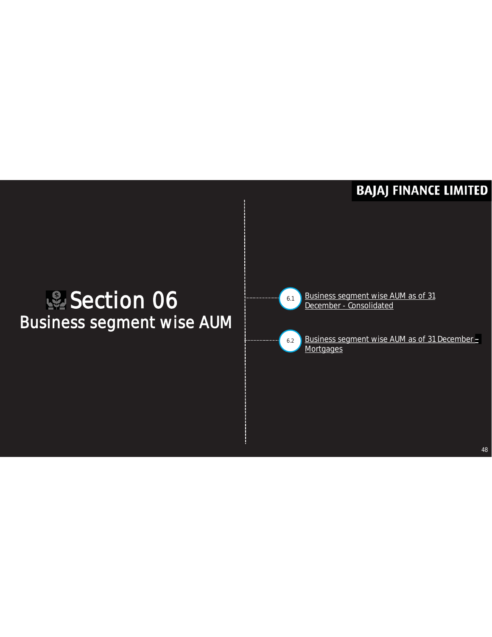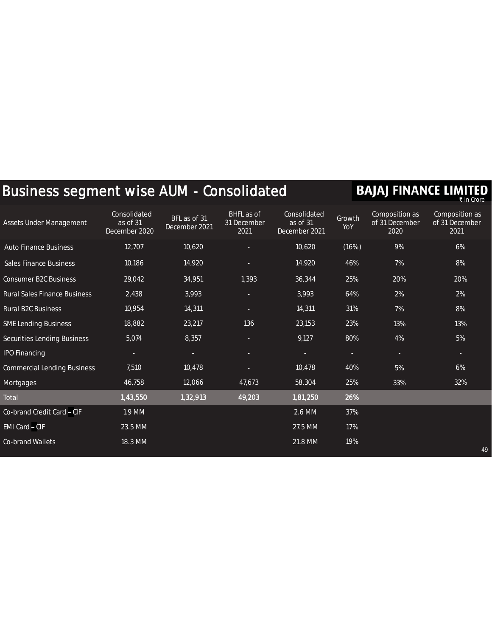## Business segment wise AUM - Consolidated **BAJAJ FINANCE LIMITED**

| <b>Assets Under Management</b>      | Consolidated<br>as of 31<br>December 2020 | BFL as of 31<br>December 2021 | BHFL as of<br>31 December<br>2021 | Consolidated<br>as of 31<br>December 2021 | Growth<br>YoY | Composition as<br>of 31 December<br>2020 | Composition as<br>of 31 December<br>2021 |
|-------------------------------------|-------------------------------------------|-------------------------------|-----------------------------------|-------------------------------------------|---------------|------------------------------------------|------------------------------------------|
| <b>Auto Finance Business</b>        | 12,707                                    | 10,620                        |                                   | 10,620                                    | (16%)         | 9%                                       | 6%                                       |
| <b>Sales Finance Business</b>       | 10,186                                    | 14,920                        |                                   | 14,920                                    | 46%           | 7%                                       | 8%                                       |
| <b>Consumer B2C Business</b>        | 29,042                                    | 34,951                        | 1,393                             | 36,344                                    | 25%           | 20%                                      | 20%                                      |
| <b>Rural Sales Finance Business</b> | 2,438                                     | 3,993                         | ÷                                 | 3,993                                     | 64%           | 2%                                       | 2%                                       |
| Rural B2C Business                  | 10,954                                    | 14,311                        | ×.                                | 14,311                                    | 31%           | 7%                                       | 8%                                       |
| <b>SME Lending Business</b>         | 18,882                                    | 23,217                        | 136                               | 23,153                                    | 23%           | 13%                                      | 13%                                      |
| Securities Lending Business         | 5,074                                     | 8,357                         | ×.                                | 9,127                                     | 80%           | 4%                                       | 5%                                       |
| <b>IPO Financing</b>                | н                                         | ٠                             | ÷                                 | ÷                                         | ÷             | ÷.                                       | ÷                                        |
| <b>Commercial Lending Business</b>  | 7,510                                     | 10,478                        |                                   | 10,478                                    | 40%           | 5%                                       | 6%                                       |
| <b>Mortgages</b>                    | 46,758                                    | 12,066                        | 47,673                            | 58,304                                    | 25%           | 33%                                      | 32%                                      |
| Total                               | 1,43,550                                  | 1,32,913                      | 49,203                            | 1,81,250                                  | 26%           |                                          |                                          |
| Co-brand Credit Card - CIF          | 1.9 MM                                    |                               |                                   | 2.6 MM                                    | 37%           |                                          |                                          |
| EMI Card - CIF                      | 23.5 MM                                   |                               |                                   | 27.5 MM                                   | 17%           |                                          |                                          |
| Co-brand Wallets                    | 18.3 MM                                   |                               |                                   | 21.8 MM                                   | 19%           |                                          | 49                                       |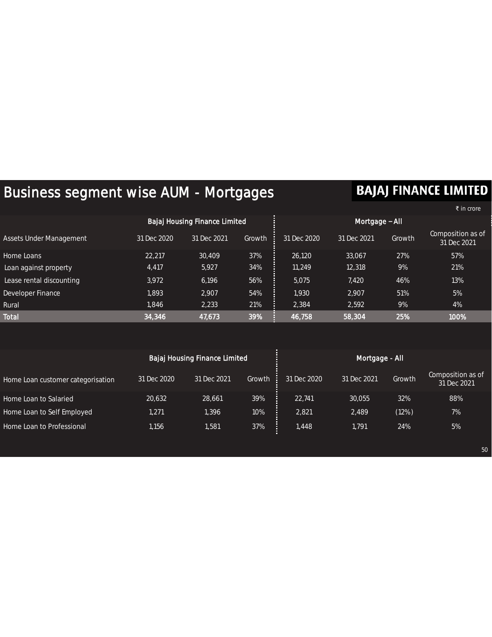### Business segment wise AUM - Mortgages

### **BAJAJ FINANCE LIMITED**

50

|                          |             |                               |        |                |             |        | रै in crore                      |  |
|--------------------------|-------------|-------------------------------|--------|----------------|-------------|--------|----------------------------------|--|
|                          |             | Bajaj Housing Finance Limited |        | Mortgage - All |             |        |                                  |  |
| Assets Under Management  | 31 Dec 2020 | 31 Dec 2021                   | Growth | 31 Dec 2020    | 31 Dec 2021 | Growth | Composition as of<br>31 Dec 2021 |  |
| Home Loans               | 22,217      | 30,409                        | 37%    | 26,120         | 33,067      | 27%    | 57%                              |  |
| Loan against property    | 4,417       | 5,927                         | 34%    | 11.249         | 12,318      | 9%     | 21%                              |  |
| Lease rental discounting | 3,972       | 6,196                         | 56%    | 5.075          | 7.420       | 46%    | 13%                              |  |
| Developer Finance        | 1,893       | 2,907                         | 54%    | 1,930          | 2,907       | 51%    | 5%                               |  |
| Rural                    | 1,846       | 2,233                         | 21%    | 2,384          | 2,592       | 9%     | 4%                               |  |
| <b>Total</b>             | 34,346      | 47,673                        | 39%    | 46,758         | 58,304      | 25%    | 100%                             |  |

|                                   |             | Bajaj Housing Finance Limited |        | Mortgage - All |             |        |                                  |  |  |
|-----------------------------------|-------------|-------------------------------|--------|----------------|-------------|--------|----------------------------------|--|--|
| Home Loan customer categorisation | 31 Dec 2020 | 31 Dec 2021                   | Growth | 31 Dec 2020    | 31 Dec 2021 | Growth | Composition as of<br>31 Dec 2021 |  |  |
| Home Loan to Salaried             | 20,632      | 28,661                        | 39%    | 22.741         | 30,055      | 32%    | 88%                              |  |  |
| Home Loan to Self Employed        | 1,271       | 1,396                         | 10%    | 2,821          | 2,489       | (12%)  | 7%                               |  |  |
| Home Loan to Professional         | 1.156       | 1,581                         | 37%    | 1.448          | 1,791       | 24%    | 5%                               |  |  |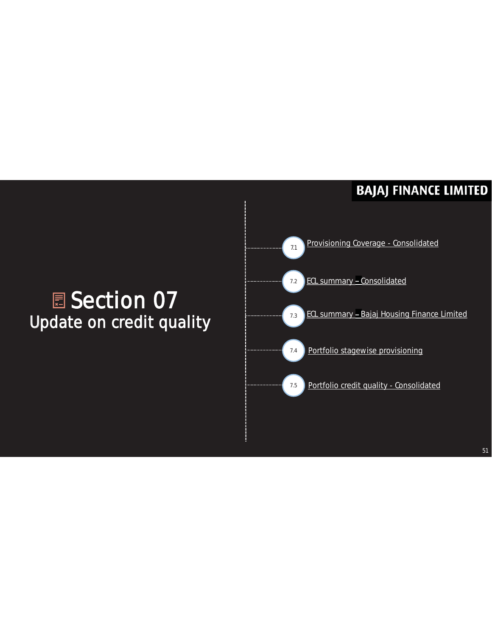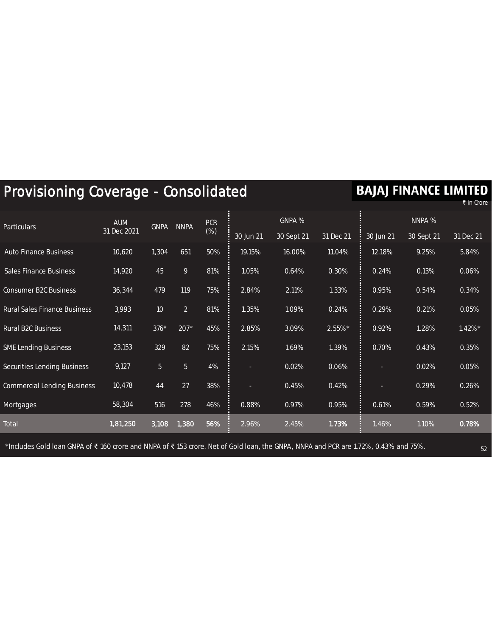| Provisioning Coverage - Consolidated | <b>BAJAJ FINANCE LIMITED</b> |                | ₹ in Crore     |                      |           |            |           |           |            |           |
|--------------------------------------|------------------------------|----------------|----------------|----------------------|-----------|------------|-----------|-----------|------------|-----------|
| <b>Particulars</b>                   | <b>AUM</b><br>31 Dec 2021    | <b>GNPA</b>    | <b>NNPA</b>    | <b>PCR</b><br>$(\%)$ |           | GNPA %     |           |           | NNPA %     |           |
|                                      |                              |                |                |                      | 30 Jun 21 | 30 Sept 21 | 31 Dec 21 | 30 Jun 21 | 30 Sept 21 | 31 Dec 21 |
| <b>Auto Finance Business</b>         | 10,620                       | 1,304          | 651            | 50%                  | 19.15%    | 16.00%     | 11.04%    | 12.18%    | 9.25%      | 5.84%     |
| <b>Sales Finance Business</b>        | 14,920                       | 45             | 9              | 81%                  | 1.05%     | 0.64%      | 0.30%     | 0.24%     | 0.13%      | 0.06%     |
| <b>Consumer B2C Business</b>         | 36,344                       | 479            | 119            | 75%                  | 2.84%     | 2.11%      | 1.33%     | 0.95%     | 0.54%      | 0.34%     |
| <b>Rural Sales Finance Business</b>  | 3,993                        | 10             | $\overline{2}$ | 81%                  | 1.35%     | 1.09%      | 0.24%     | 0.29%     | 0.21%      | 0.05%     |
| Rural B2C Business                   | 14,311                       | $376*$         | $207*$         | 45%                  | 2.85%     | 3.09%      | 2.55%*    | 0.92%     | 1.28%      | 1.42%*    |
| <b>SME Lending Business</b>          | 23,153                       | 329            | 82             | 75%                  | 2.15%     | 1.69%      | 1.39%     | 0.70%     | 0.43%      | 0.35%     |
| <b>Securities Lending Business</b>   | 9,127                        | 5 <sup>1</sup> | 5 <sup>1</sup> | 4%                   |           | 0.02%      | 0.06%     |           | 0.02%      | 0.05%     |
| <b>Commercial Lending Business</b>   | 10,478                       | 44             | 27             | 38%                  | ●         | 0.45%      | 0.42%     | ٠         | 0.29%      | 0.26%     |
| Mortgages                            | 58,304                       | 516            | 278            | 46%                  | 0.88%     | 0.97%      | 0.95%     | 0.61%     | 0.59%      | 0.52%     |
| Total                                | 1,81,250                     | 3,108          | 1,380          | 56%                  | 2.96%     | 2.45%      | 1.73%     | 1.46%     | 1.10%      | 0.78%     |

\*Includes Gold loan GNPA of ₹ 160 crore and NNPA of ₹ 153 crore. Net of Gold loan, the GNPA, NNPA and PCR are 1.72%, 0.43% and 75%.

. . . . . . . . . . . *. . . . . . .* . .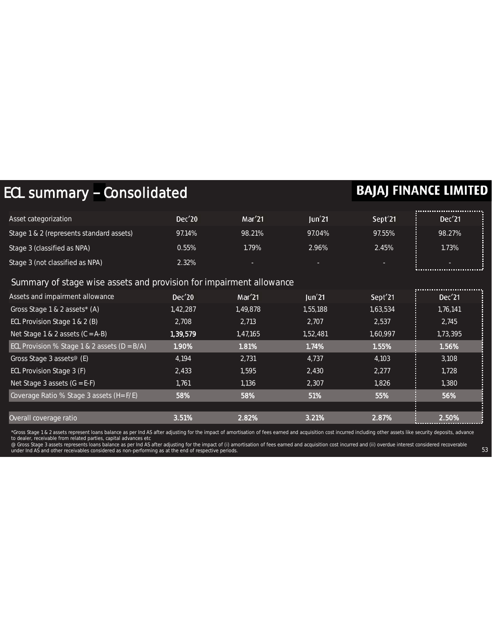| ECL summary - Consolidated                                          |          |          |          |                     | <b>BAJAJ FINANCE LIMITED</b> |
|---------------------------------------------------------------------|----------|----------|----------|---------------------|------------------------------|
|                                                                     |          |          |          |                     |                              |
| Asset categorization                                                | Dec'20   | Mar'21   | Jun'21   | Sept <sup>'21</sup> | Dec'21                       |
| Stage 1 & 2 (represents standard assets)                            | 97.14%   | 98.21%   | 97.04%   | 97.55%              | 98.27%                       |
| Stage 3 (classified as NPA)                                         | 0.55%    | 1.79%    | 2.96%    | 2.45%               | 1.73%                        |
| Stage 3 (not classified as NPA)                                     | 2.32%    |          |          |                     |                              |
|                                                                     |          |          |          |                     |                              |
| Summary of stage wise assets and provision for impairment allowance |          |          |          |                     |                              |
| Assets and impairment allowance                                     | Dec'20   | Mar'21   | Jun'21   | Sept <sup>'21</sup> | Dec'21                       |
| Gross Stage 1 & 2 assets* (A)                                       | 1,42,287 | 1,49,878 | 1,55,188 | 1,63,534            | 1,76,141                     |
| ECL Provision Stage 1 & 2 (B)                                       | 2,708    | 2,713    | 2,707    | 2,537               | 2,745                        |
| Net Stage 1 & 2 assets $(C = A-B)$                                  | 1,39,579 | 1,47,165 | 1,52,481 | 1,60,997            | 1,73,395                     |
| ECL Provision % Stage 1 & 2 assets ( $D = B/A$ )                    | 1.90%    | 1.81%    | 1.74%    | 1.55%               | 1.56%                        |
| Gross Stage 3 assets <sup>®</sup> (E)                               | 4,194    | 2.731    | 4.737    | 4,103               | 3,108                        |
| ECL Provision Stage 3 (F)                                           | 2,433    | 1.595    | 2,430    | $\overline{2,277}$  | 1.728                        |
| Net Stage 3 assets $(G = E-F)$                                      | 1,761    | 1,136    | 2,307    | 1,826               | 1,380                        |
| Coverage Ratio % Stage 3 assets (H= F/E)                            | 58%      | 58%      | 51%      | 55%                 | 56%                          |
|                                                                     |          |          |          |                     |                              |
| Overall coverage ratio                                              | 3.51%    | 2.82%    | 3.21%    | 2.87%               | 2.50%                        |

\*Gross Stage 1 & 2 assets represent loans balance as per Ind AS after adjusting for the impact of amortisation of fees earned and acquisition cost incurred including other assets like security deposits, advance<br>to dealer,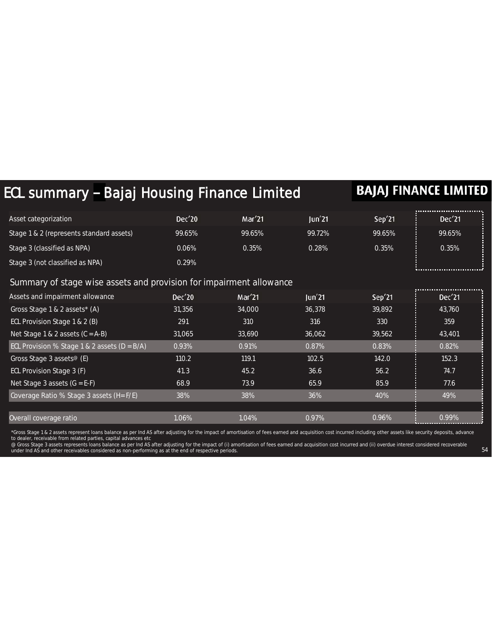| ECL summary - Bajaj Housing Finance Limited                         |        |        |        |        | <b>BAJAJ FINANCE LIMITED</b>            |
|---------------------------------------------------------------------|--------|--------|--------|--------|-----------------------------------------|
|                                                                     |        |        |        |        |                                         |
| Asset categorization                                                | Dec'20 | Mar'21 | Jun'21 | Sep'21 | Dec'21                                  |
| Stage 1 & 2 (represents standard assets)                            | 99.65% | 99.65% | 99.72% | 99.65% | 99.65%                                  |
| Stage 3 (classified as NPA)                                         | 0.06%  | 0.35%  | 0.28%  | 0.35%  | 0.35%                                   |
| Stage 3 (not classified as NPA)                                     | 0.29%  |        |        |        |                                         |
| Summary of stage wise assets and provision for impairment allowance |        |        |        |        |                                         |
| Assets and impairment allowance                                     | Dec'20 | Mar'21 | Jun'21 | Sep'21 | ,,,,,,,,,,,,,,,,,,,,,,,,,,,,,<br>Dec'21 |
| Gross Stage 1 & 2 assets* (A)                                       | 31,356 | 34,000 | 36,378 | 39,892 | 43,760                                  |
| ECL Provision Stage 1 & 2 (B)                                       | 291    | 310    | 316    | 330    | 359                                     |
| Net Stage 1 & 2 assets $(C = A-B)$                                  | 31,065 | 33,690 | 36,062 | 39,562 | 43,401                                  |
| ECL Provision % Stage 1 & 2 assets ( $D = B/A$ )                    | 0.93%  | 0.91%  | 0.87%  | 0.83%  | 0.82%                                   |
| Gross Stage 3 assets <sup>®</sup> (E)                               | 110.2  | 119.1  | 102.5  | 142.0  | 152.3                                   |
| ECL Provision Stage 3 (F)                                           | 41.3   | 45.2   | 36.6   | 56.2   | 74.7                                    |
| Net Stage 3 assets $(G = E-F)$                                      | 68.9   | 73.9   | 65.9   | 85.9   | 77.6                                    |
| Coverage Ratio % Stage 3 assets (H= F/E)                            | 38%    | 38%    | 36%    | 40%    | 49%                                     |
|                                                                     |        |        |        |        |                                         |
| Overall coverage ratio                                              | 1.06%  | 1.04%  | 0.97%  | 0.96%  | 0.99%                                   |

\*Gross Stage 1 & 2 assets represent loans balance as per Ind AS after adjusting for the impact of amortisation of fees earned and acquisition cost incurred including other assets like security deposits, advance<br>to dealer,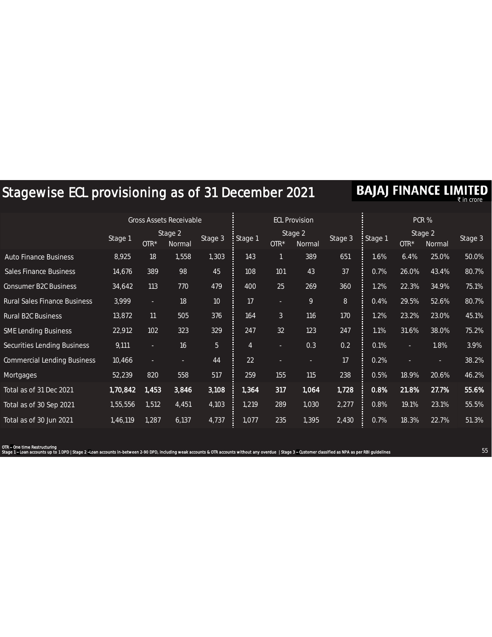### Stagewise ECL provisioning as of 31 December 2021

**BAJAJ FINANCE LIMITED** 

|                                     | <b>Gross Assets Receivable</b> |        |                   | <b>ECL Provision</b> |                |                |                   | PCR %          |         |        |                   |         |
|-------------------------------------|--------------------------------|--------|-------------------|----------------------|----------------|----------------|-------------------|----------------|---------|--------|-------------------|---------|
|                                     | Stage 1                        | $OTR*$ | Stage 2<br>Normal | Stage 3              | Stage 1        | $OTR*$         | Stage 2<br>Normal | Stage 3        | Stage 1 | $OTR*$ | Stage 2<br>Normal | Stage 3 |
| <b>Auto Finance Business</b>        | 8,925                          | 18     | 1,558             | 1,303                | 143            |                | 389               | 651            | 1.6%    | 6.4%   | 25.0%             | 50.0%   |
| <b>Sales Finance Business</b>       | 14,676                         | 389    | 98                | 45                   | 108            | 101            | 43                | 37             | 0.7%    | 26.0%  | 43.4%             | 80.7%   |
| <b>Consumer B2C Business</b>        | 34,642                         | 113    | 770               | 479                  | 400            | 25             | 269               | 360            | 1.2%    | 22.3%  | 34.9%             | 75.1%   |
| <b>Rural Sales Finance Business</b> | 3,999                          | ٠      | 18                | 10                   | 17             | ÷.             | 9                 | $8\phantom{1}$ | 0.4%    | 29.5%  | 52.6%             | 80.7%   |
| <b>Rural B2C Business</b>           | 13,872                         | 11     | 505               | 376                  | 164            | $\mathfrak{Z}$ | 116               | 170            | 1.2%    | 23.2%  | 23.0%             | 45.1%   |
| <b>SME Lending Business</b>         | 22,912                         | 102    | 323               | 329                  | 247            | 32             | 123               | 247            | 1.1%    | 31.6%  | 38.0%             | 75.2%   |
| <b>Securities Lending Business</b>  | 9,111                          | ×.     | 16                | 5                    | $\overline{4}$ | ÷.             | 0.3               | 0.2            | 0.1%    | ×.     | 1.8%              | 3.9%    |
| <b>Commercial Lending Business</b>  | 10,466                         | н      | ÷.                | 44                   | 22             | ÷              | ÷                 | 17             | 0.2%    |        | ×.                | 38.2%   |
| Mortgages                           | 52,239                         | 820    | 558               | 517                  | 259            | 155            | 115               | 238            | 0.5%    | 18.9%  | 20.6%             | 46.2%   |
| Total as of 31 Dec 2021             | 1,70,842                       | 1,453  | 3,846             | 3,108                | 1,364          | 317            | 1,064             | 1,728          | 0.8%    | 21.8%  | 27.7%             | 55.6%   |
| Total as of 30 Sep 2021             | 1,55,556                       | 1,512  | 4,451             | 4,103                | 1,219          | 289            | 1,030             | 2,277          | 0.8%    | 19.1%  | 23.1%             | 55.5%   |
| Total as of 30 Jun 2021             | 1,46,119                       | 1,287  | 6,137             | 4,737                | 1,077          | 235            | 1,395             | 2,430          | 0.7%    | 18.3%  | 22.7%             | 51.3%   |

OTR - One time Restructuring Stage 1 – Loan accounts up to 1 DPD | Stage 2 –Loan accounts in-between 2-90 DPD, including weak accounts & OTR accounts without any overdue | Stage 3 – Customer classified as NPA as per RBI guidelines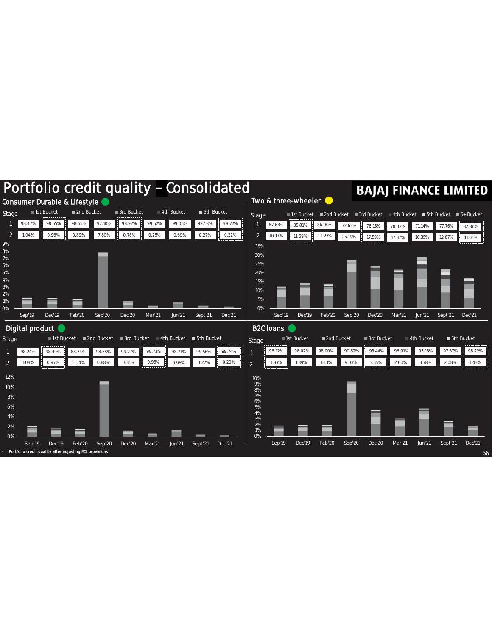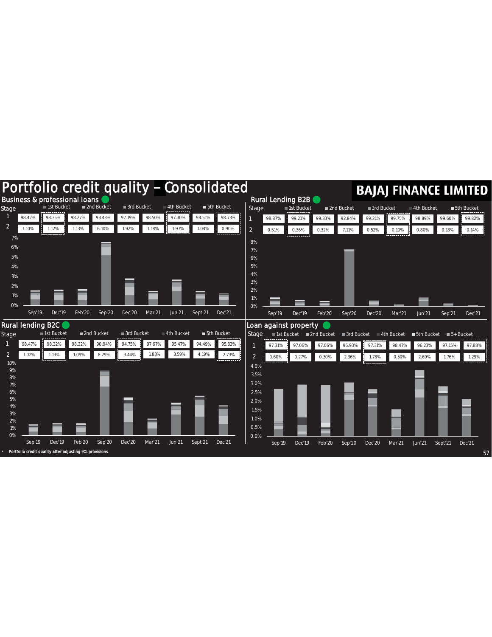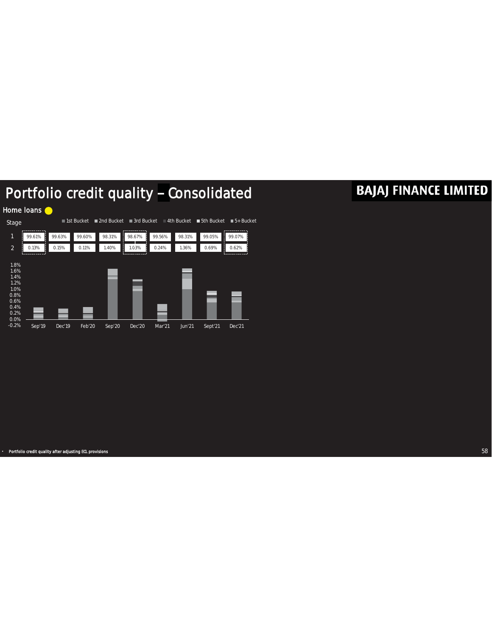### Portfolio credit quality - Consolidated



### **BAJAJ FINANCE LIMITED**

• Portfolio credit quality after adjusting ECL provisions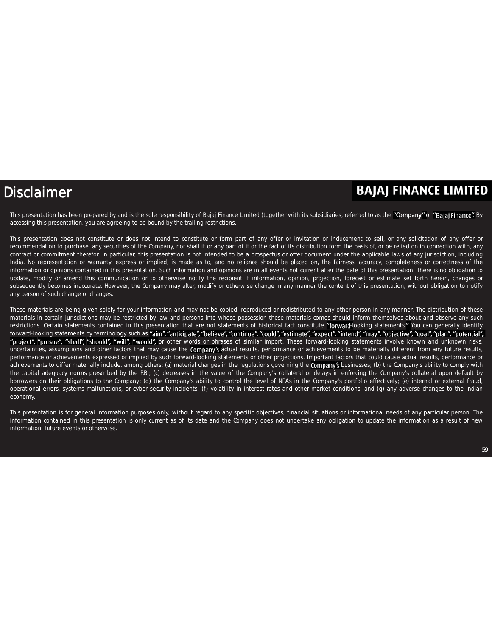#### Disclaimer

#### **BAJAJ FINANCE LIMITED**

This presentation has been prepared by and is the sole responsibility of Bajaj Finance Limited (together with its subsidiaries, referred to as the "Company" or "Bajaj Finance". By accessing this presentation, you are agreeing to be bound by the trailing restrictions.

This presentation does not constitute or does not intend to constitute or form part of any offer or invitation or inducement to sell, or any solicitation of any offer or recommendation to purchase, any securities of the Company, nor shall it or any part of it or the fact of its distribution form the basis of, or be relied on in connection with, any contract or commitment therefor. In particular, this presentation is not intended to be a prospectus or offer document under the applicable laws of any jurisdiction, including India. No representation or warranty, express or implied, is made as to, and no reliance should be placed on, the fairness, accuracy, completeness or correctness of the information or opinions contained in this presentation. Such information and opinions are in all events not current after the date of this presentation. There is no obligation to update, modify or amend this communication or to otherwise notify the recipient if information, opinion, projection, forecast or estimate set forth herein, changes or subsequently becomes inaccurate. However, the Company may alter, modify or otherwise change in any manner the content of this presentation, without obligation to notify any person of such change or changes.

These materials are being given solely for your information and may not be copied, reproduced or redistributed to any other person in any manner. The distribution of these materials in certain jurisdictions may be restricted by law and persons into whose possession these materials comes should inform themselves about and observe any such restrictions. Certain statements contained in this presentation that are not statements of historical fact constitute "forward-looking statements." You can generally identify forward-looking statements by terminology such as "aim", "anticipate", "believe", "continue", "could", "estimate", "expect", "intend", "may", "objective", "qoal", "plan", "potential", "project", "pursue", "shall", "should", "will", "would", or other words or phrases of similar import. These forward-looking statements involve known and unknown risks, uncertainties, assumptions and other factors that may cause the *Company's* actual results, performance or achievements to be materially different from any future results, performance or achievements expressed or implied by such forward-looking statements or other projections. Important factors that could cause actual results, performance or achievements to differ materially include, among others: (a) material changes in the regulations governing the Company's businesses; (b) the Company's ability to comply with the capital adequacy norms prescribed by the RBI; (c) decreases in the value of the Company's collateral or delays in enforcing the Company's collateral upon default by borrowers on their obligations to the Company; (d) the Company's ability to control the level of NPAs in the Company's portfolio effectively; (e) internal or external fraud, operational errors, systems malfunctions, or cyber security incidents; (f) volatility in interest rates and other market conditions; and (g) any adverse changes to the Indian economy.

This presentation is for general information purposes only, without regard to any specific objectives, financial situations or informational needs of any particular person. The information contained in this presentation is only current as of its date and the Company does not undertake any obligation to update the information as a result of new information, future events or otherwise.